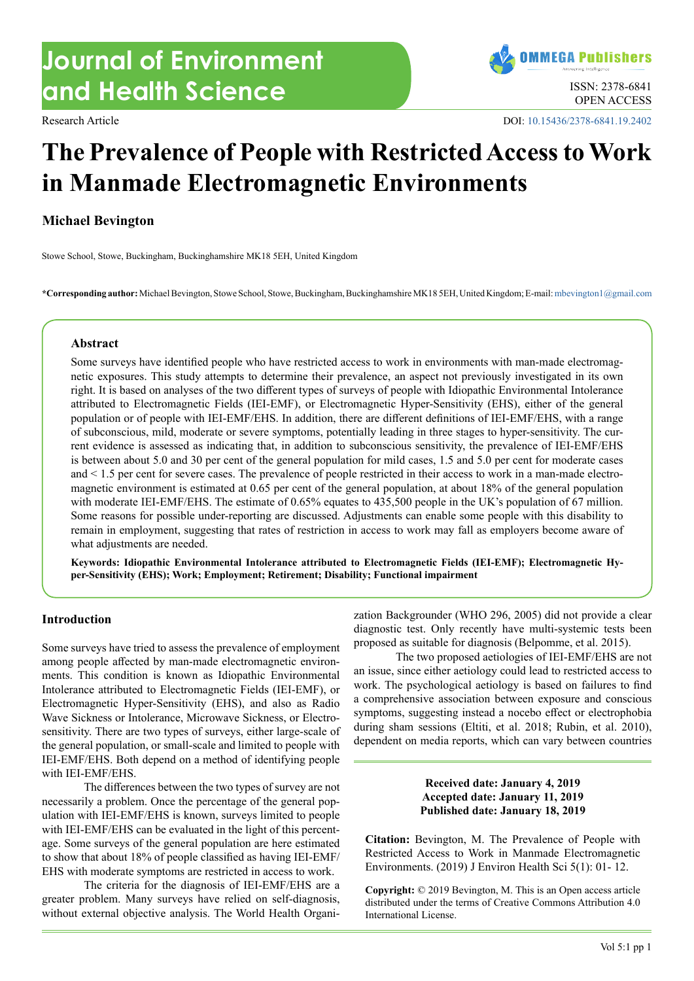# **Journal of Environment and Health Science ISSN: 2378-6841**



Research Article DOI: [10.15436/2378-6841.19.2402](https://doi.org/10.15436/2378-6841.19.2402)

# **The Prevalence of People with Restricted Access to Work in Manmade Electromagnetic Environments**

# **Michael Bevington**

Stowe School, Stowe, Buckingham, Buckinghamshire MK18 5EH, United Kingdom

**\*Corresponding author:** Michael Bevington, Stowe School, Stowe, Buckingham, Buckinghamshire MK18 5EH, United Kingdom; E-mail: [mbevington1@gmail.com](mailto:mbevington1@gmail.com?subject=)

#### **Abstract**

Some surveys have identified people who have restricted access to work in environments with man-made electromagnetic exposures. This study attempts to determine their prevalence, an aspect not previously investigated in its own right. It is based on analyses of the two different types of surveys of people with Idiopathic Environmental Intolerance attributed to Electromagnetic Fields (IEI-EMF), or Electromagnetic Hyper-Sensitivity (EHS), either of the general population or of people with IEI-EMF/EHS. In addition, there are different definitions of IEI-EMF/EHS, with a range of subconscious, mild, moderate or severe symptoms, potentially leading in three stages to hyper-sensitivity. The current evidence is assessed as indicating that, in addition to subconscious sensitivity, the prevalence of IEI-EMF/EHS is between about 5.0 and 30 per cent of the general population for mild cases, 1.5 and 5.0 per cent for moderate cases and < 1.5 per cent for severe cases. The prevalence of people restricted in their access to work in a man-made electromagnetic environment is estimated at 0.65 per cent of the general population, at about 18% of the general population with moderate IEI-EMF/EHS. The estimate of 0.65% equates to 435,500 people in the UK's population of 67 million. Some reasons for possible under-reporting are discussed. Adjustments can enable some people with this disability to remain in employment, suggesting that rates of restriction in access to work may fall as employers become aware of what adjustments are needed.

**Keywords: Idiopathic Environmental Intolerance attributed to Electromagnetic Fields (IEI-EMF); Electromagnetic Hyper-Sensitivity (EHS); Work; Employment; Retirement; Disability; Functional impairment**

#### **Introduction**

Some surveys have tried to assess the prevalence of employment among people affected by man-made electromagnetic environments. This condition is known as Idiopathic Environmental Intolerance attributed to Electromagnetic Fields (IEI-EMF), or Electromagnetic Hyper-Sensitivity (EHS), and also as Radio Wave Sickness or Intolerance, Microwave Sickness, or Electrosensitivity. There are two types of surveys, either large-scale of the general population, or small-scale and limited to people with IEI-EMF/EHS. Both depend on a method of identifying people with IEI-EMF/EHS.

The differences between the two types of survey are not necessarily a problem. Once the percentage of the general population with IEI-EMF/EHS is known, surveys limited to people with IEI-EMF/EHS can be evaluated in the light of this percentage. Some surveys of the general population are here estimated to show that about 18% of people classified as having IEI-EMF/ EHS with moderate symptoms are restricted in access to work.

The criteria for the diagnosis of IEI-EMF/EHS are a greater problem. Many surveys have relied on self-diagnosis, without external objective analysis. The World Health Organization Backgrounder (WHO 296, 2005) did not provide a clear diagnostic test. Only recently have multi-systemic tests been proposed as suitable for diagnosis (Belpomme, et al. 2015).

The two proposed aetiologies of IEI-EMF/EHS are not an issue, since either aetiology could lead to restricted access to work. The psychological aetiology is based on failures to find a comprehensive association between exposure and conscious symptoms, suggesting instead a nocebo effect or electrophobia during sham sessions (Eltiti, et al. 2018; Rubin, et al. 2010), dependent on media reports, which can vary between countries

### **Received date: January 4, 2019 Accepted date: January 11, 2019 Published date: January 18, 2019**

**Citation:** Bevington, M. The Prevalence of People with Restricted Access to Work in Manmade Electromagnetic Environments. (2019) J Environ Health Sci 5(1): 01- 12.

**Copyright:** © 2019 Bevington, M. This is an Open access article distributed under the terms of Creative Commons Attribution 4.0 International License.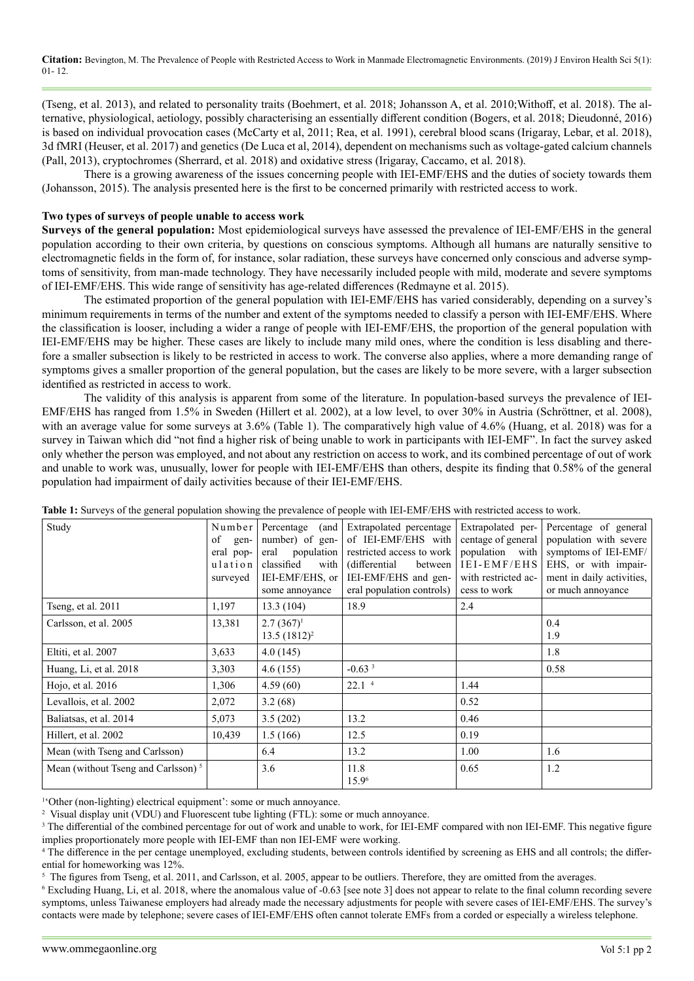(Tseng, et al. 2013), and related to personality traits (Boehmert, et al. 2018; Johansson A, et al. 2010;Withoff, et al. 2018). The alternative, physiological, aetiology, possibly characterising an essentially different condition (Bogers, et al. 2018; Dieudonné, 2016) is based on individual provocation cases (McCarty et al, 2011; Rea, et al. 1991), cerebral blood scans (Irigaray, Lebar, et al. 2018), 3d fMRI (Heuser, et al. 2017) and genetics (De Luca et al, 2014), dependent on mechanisms such as voltage-gated calcium channels (Pall, 2013), cryptochromes (Sherrard, et al. 2018) and oxidative stress (Irigaray, Caccamo, et al. 2018).

There is a growing awareness of the issues concerning people with IEI-EMF/EHS and the duties of society towards them (Johansson, 2015). The analysis presented here is the first to be concerned primarily with restricted access to work.

#### **Two types of surveys of people unable to access work**

**Surveys of the general population:** Most epidemiological surveys have assessed the prevalence of IEI-EMF/EHS in the general population according to their own criteria, by questions on conscious symptoms. Although all humans are naturally sensitive to electromagnetic fields in the form of, for instance, solar radiation, these surveys have concerned only conscious and adverse symptoms of sensitivity, from man-made technology. They have necessarily included people with mild, moderate and severe symptoms of IEI-EMF/EHS. This wide range of sensitivity has age-related differences (Redmayne et al. 2015).

The estimated proportion of the general population with IEI-EMF/EHS has varied considerably, depending on a survey's minimum requirements in terms of the number and extent of the symptoms needed to classify a person with IEI-EMF/EHS. Where the classification is looser, including a wider a range of people with IEI-EMF/EHS, the proportion of the general population with IEI-EMF/EHS may be higher. These cases are likely to include many mild ones, where the condition is less disabling and therefore a smaller subsection is likely to be restricted in access to work. The converse also applies, where a more demanding range of symptoms gives a smaller proportion of the general population, but the cases are likely to be more severe, with a larger subsection identified as restricted in access to work.

The validity of this analysis is apparent from some of the literature. In population-based surveys the prevalence of IEI-EMF/EHS has ranged from 1.5% in Sweden (Hillert et al. 2002), at a low level, to over 30% in Austria (Schröttner, et al. 2008), with an average value for some surveys at 3.6% (Table 1). The comparatively high value of 4.6% (Huang, et al. 2018) was for a survey in Taiwan which did "not find a higher risk of being unable to work in participants with IEI-EMF". In fact the survey asked only whether the person was employed, and not about any restriction on access to work, and its combined percentage of out of work and unable to work was, unusually, lower for people with IEI-EMF/EHS than others, despite its finding that 0.58% of the general population had impairment of daily activities because of their IEI-EMF/EHS.

| Study                                          | Number<br>of gen-<br>eral pop-<br>ulation<br>surveyed | (and<br>Percentage<br>number) of gen-<br>eral population<br>classified<br>with<br>IEI-EMF/EHS, or<br>some annoyance | Extrapolated percentage<br>of IEI-EMF/EHS with<br>restricted access to work<br>(differential)<br>between<br>IEI-EMF/EHS and gen-<br>eral population controls) | Extrapolated per-<br>centage of general<br>population with<br>IEI-EMF/EHS<br>with restricted ac-<br>cess to work | Percentage of general<br>population with severe<br>symptoms of IEI-EMF/<br>EHS, or with impair-<br>ment in daily activities,<br>or much annoyance |
|------------------------------------------------|-------------------------------------------------------|---------------------------------------------------------------------------------------------------------------------|---------------------------------------------------------------------------------------------------------------------------------------------------------------|------------------------------------------------------------------------------------------------------------------|---------------------------------------------------------------------------------------------------------------------------------------------------|
| Tseng, et al. 2011                             | 1,197                                                 | 13.3(104)                                                                                                           | 18.9                                                                                                                                                          | 2.4                                                                                                              |                                                                                                                                                   |
| Carlsson, et al. 2005                          | 13,381                                                | $2.7(367)^1$<br>$13.5(1812)^2$                                                                                      |                                                                                                                                                               |                                                                                                                  | 0.4<br>1.9                                                                                                                                        |
| Eltiti, et al. 2007                            | 3,633                                                 | 4.0(145)                                                                                                            |                                                                                                                                                               |                                                                                                                  | 1.8                                                                                                                                               |
| Huang, Li, et al. 2018                         | 3,303                                                 | 4.6(155)                                                                                                            | $-0.633$                                                                                                                                                      |                                                                                                                  | 0.58                                                                                                                                              |
| Hojo, et al. 2016                              | 1,306                                                 | 4.59(60)                                                                                                            | 22.1 <sup>4</sup>                                                                                                                                             | 1.44                                                                                                             |                                                                                                                                                   |
| Levallois, et al. 2002                         | 2,072                                                 | 3.2(68)                                                                                                             |                                                                                                                                                               | 0.52                                                                                                             |                                                                                                                                                   |
| Baliatsas, et al. 2014                         | 5,073                                                 | 3.5(202)                                                                                                            | 13.2                                                                                                                                                          | 0.46                                                                                                             |                                                                                                                                                   |
| Hillert, et al. 2002                           | 10,439                                                | 1.5(166)                                                                                                            | 12.5                                                                                                                                                          | 0.19                                                                                                             |                                                                                                                                                   |
| Mean (with Tseng and Carlsson)                 |                                                       | 6.4                                                                                                                 | 13.2                                                                                                                                                          | 1.00                                                                                                             | 1.6                                                                                                                                               |
| Mean (without Tseng and Carlsson) <sup>5</sup> |                                                       | 3.6                                                                                                                 | 11.8<br>15.9 <sup>6</sup>                                                                                                                                     | 0.65                                                                                                             | 1.2                                                                                                                                               |

**Table 1:** Surveys of the general population showing the prevalence of people with IEI-EMF/EHS with restricted access to work.

1 'Other (non-lighting) electrical equipment': some or much annoyance.

2 Visual display unit (VDU) and Fluorescent tube lighting (FTL): some or much annoyance.

<sup>3</sup> The differential of the combined percentage for out of work and unable to work, for IEI-EMF compared with non IEI-EMF. This negative figure implies proportionately more people with IEI-EMF than non IEI-EMF were working.

4 The difference in the per centage unemployed, excluding students, between controls identified by screening as EHS and all controls; the differential for homeworking was 12%.

 $5$  The figures from Tseng, et al. 2011, and Carlsson, et al. 2005, appear to be outliers. Therefore, they are omitted from the averages.

6 Excluding Huang, Li, et al. 2018, where the anomalous value of -0.63 [see note 3] does not appear to relate to the final column recording severe symptoms, unless Taiwanese employers had already made the necessary adjustments for people with severe cases of IEI-EMF/EHS. The survey's contacts were made by telephone; severe cases of IEI-EMF/EHS often cannot tolerate EMFs from a corded or especially a wireless telephone.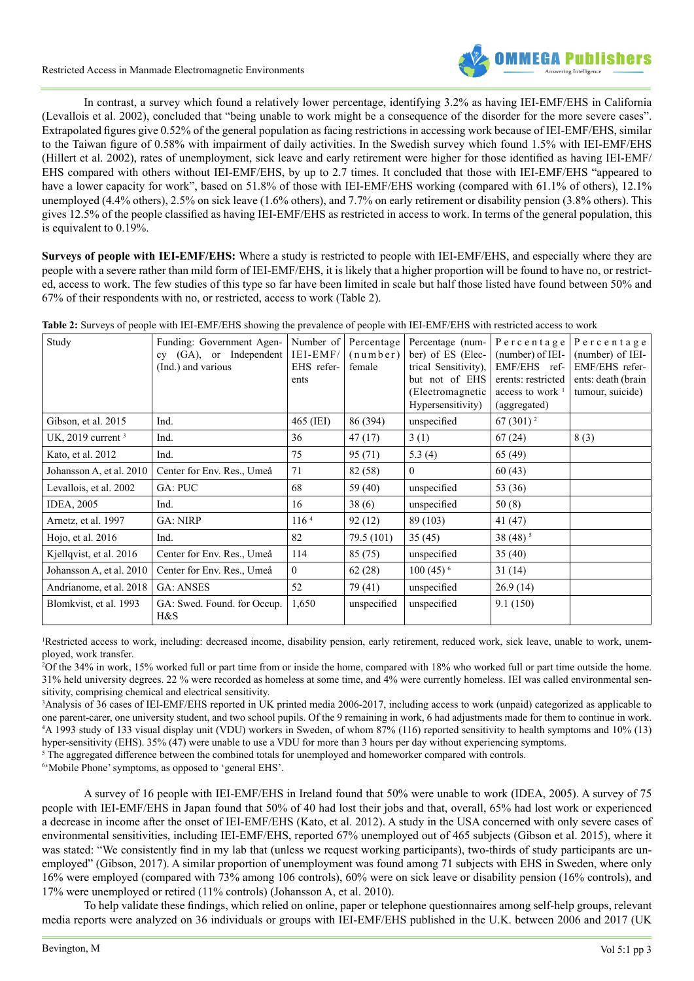

In contrast, a survey which found a relatively lower percentage, identifying 3.2% as having IEI-EMF/EHS in California (Levallois et al. 2002), concluded that "being unable to work might be a consequence of the disorder for the more severe cases". Extrapolated figures give 0.52% of the general population as facing restrictions in accessing work because of IEI-EMF/EHS, similar to the Taiwan figure of 0.58% with impairment of daily activities. In the Swedish survey which found 1.5% with IEI-EMF/EHS (Hillert et al. 2002), rates of unemployment, sick leave and early retirement were higher for those identified as having IEI-EMF/ EHS compared with others without IEI-EMF/EHS, by up to 2.7 times. It concluded that those with IEI-EMF/EHS "appeared to have a lower capacity for work", based on 51.8% of those with IEI-EMF/EHS working (compared with 61.1% of others), 12.1% unemployed (4.4% others), 2.5% on sick leave (1.6% others), and 7.7% on early retirement or disability pension (3.8% others). This gives 12.5% of the people classified as having IEI-EMF/EHS as restricted in access to work. In terms of the general population, this is equivalent to 0.19%.

**Surveys of people with IEI-EMF/EHS:** Where a study is restricted to people with IEI-EMF/EHS, and especially where they are people with a severe rather than mild form of IEI-EMF/EHS, it is likely that a higher proportion will be found to have no, or restricted, access to work. The few studies of this type so far have been limited in scale but half those listed have found between 50% and 67% of their respondents with no, or restricted, access to work (Table 2).

**Table 2:** Surveys of people with IEI-EMF/EHS showing the prevalence of people with IEI-EMF/EHS with restricted access to work

| Study                    | Funding: Government Agen-<br>cy (GA), or Independent<br>(Ind.) and various | Number of<br>IEI-EMF/<br>EHS refer-<br>ents | Percentage<br>$(\text{number})$<br>female | Percentage (num-<br>ber) of ES (Elec-<br>trical Sensitivity),<br>but not of EHS<br>(Electromagnetic<br>Hypersensitivity) | Percentage<br>(number) of IEI-<br>EMF/EHS ref-<br>erents: restricted<br>access to work<br>(aggregated) | Percentage<br>(number) of IEI-<br>EMF/EHS refer-<br>ents: death (brain<br>tumour, suicide) |
|--------------------------|----------------------------------------------------------------------------|---------------------------------------------|-------------------------------------------|--------------------------------------------------------------------------------------------------------------------------|--------------------------------------------------------------------------------------------------------|--------------------------------------------------------------------------------------------|
| Gibson, et al. 2015      | Ind.                                                                       | 465 (IEI)                                   | 86 (394)                                  | unspecified                                                                                                              | 67 $(301)^2$                                                                                           |                                                                                            |
| UK, 2019 current $3$     | Ind.                                                                       | 36                                          | 47(17)                                    | 3(1)                                                                                                                     | 67(24)                                                                                                 | 8(3)                                                                                       |
| Kato, et al. 2012        | Ind.                                                                       | 75                                          | 95 (71)                                   | 5.3(4)                                                                                                                   | 65 (49)                                                                                                |                                                                                            |
| Johansson A, et al. 2010 | Center for Env. Res., Umeå                                                 | 71                                          | 82 (58)                                   | $\theta$                                                                                                                 | 60(43)                                                                                                 |                                                                                            |
| Levallois, et al. 2002   | GA: PUC                                                                    | 68                                          | 59 (40)                                   | unspecified                                                                                                              | 53 (36)                                                                                                |                                                                                            |
| <b>IDEA, 2005</b>        | Ind.                                                                       | 16                                          | 38(6)                                     | unspecified                                                                                                              | 50(8)                                                                                                  |                                                                                            |
| Arnetz, et al. 1997      | <b>GA: NIRP</b>                                                            | 116 <sup>4</sup>                            | 92(12)                                    | 89 (103)                                                                                                                 | 41 (47)                                                                                                |                                                                                            |
| Hojo, et al. 2016        | Ind.                                                                       | 82                                          | 79.5 (101)                                | 35(45)                                                                                                                   | 38 $(48)^5$                                                                                            |                                                                                            |
| Kjellqvist, et al. 2016  | Center for Env. Res., Umeå                                                 | 114                                         | 85 (75)                                   | unspecified                                                                                                              | 35(40)                                                                                                 |                                                                                            |
| Johansson A, et al. 2010 | Center for Env. Res., Umeå                                                 | $\theta$                                    | 62(28)                                    | $100(45)^{6}$                                                                                                            | 31(14)                                                                                                 |                                                                                            |
| Andrianome, et al. 2018  | <b>GA: ANSES</b>                                                           | 52                                          | 79 (41)                                   | unspecified                                                                                                              | 26.9(14)                                                                                               |                                                                                            |
| Blomkvist, et al. 1993   | GA: Swed. Found. for Occup.<br>H&S                                         | 1,650                                       | unspecified                               | unspecified                                                                                                              | 9.1(150)                                                                                               |                                                                                            |

Restricted access to work, including: decreased income, disability pension, early retirement, reduced work, sick leave, unable to work, unemployed, work transfer.

2 Of the 34% in work, 15% worked full or part time from or inside the home, compared with 18% who worked full or part time outside the home. 31% held university degrees. 22 % were recorded as homeless at some time, and 4% were currently homeless. IEI was called environmental sensitivity, comprising chemical and electrical sensitivity.

3 Analysis of 36 cases of IEI-EMF/EHS reported in UK printed media 2006-2017, including access to work (unpaid) categorized as applicable to one parent-carer, one university student, and two school pupils. Of the 9 remaining in work, 6 had adjustments made for them to continue in work. 4 A 1993 study of 133 visual display unit (VDU) workers in Sweden, of whom 87% (116) reported sensitivity to health symptoms and 10% (13) hyper-sensitivity (EHS). 35% (47) were unable to use a VDU for more than 3 hours per day without experiencing symptoms.

<sup>5</sup> The aggregated difference between the combined totals for unemployed and homeworker compared with controls.

6 'Mobile Phone' symptoms, as opposed to 'general EHS'.

A survey of 16 people with IEI-EMF/EHS in Ireland found that 50% were unable to work (IDEA, 2005). A survey of 75 people with IEI-EMF/EHS in Japan found that 50% of 40 had lost their jobs and that, overall, 65% had lost work or experienced a decrease in income after the onset of IEI-EMF/EHS (Kato, et al. 2012). A study in the USA concerned with only severe cases of environmental sensitivities, including IEI-EMF/EHS, reported 67% unemployed out of 465 subjects (Gibson et al. 2015), where it was stated: "We consistently find in my lab that (unless we request working participants), two-thirds of study participants are unemployed" (Gibson, 2017). A similar proportion of unemployment was found among 71 subjects with EHS in Sweden, where only 16% were employed (compared with 73% among 106 controls), 60% were on sick leave or disability pension (16% controls), and 17% were unemployed or retired (11% controls) (Johansson A, et al. 2010).

To help validate these findings, which relied on online, paper or telephone questionnaires among self-help groups, relevant media reports were analyzed on 36 individuals or groups with IEI-EMF/EHS published in the U.K. between 2006 and 2017 (UK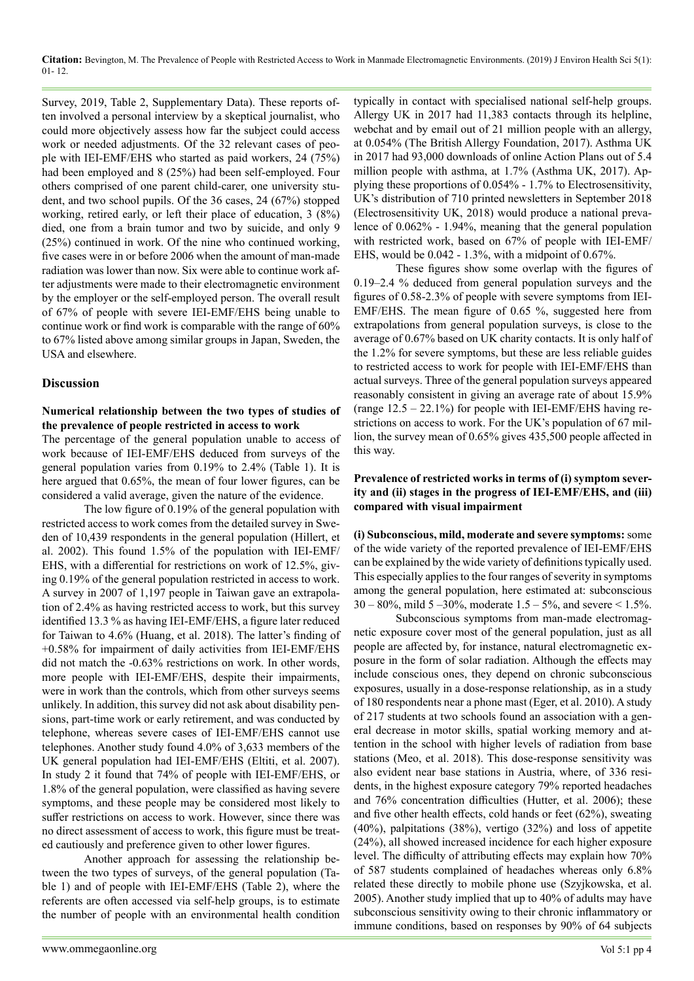Survey, 2019, Table 2, Supplementary Data). These reports often involved a personal interview by a skeptical journalist, who could more objectively assess how far the subject could access work or needed adjustments. Of the 32 relevant cases of people with IEI-EMF/EHS who started as paid workers, 24 (75%) had been employed and 8 (25%) had been self-employed. Four others comprised of one parent child-carer, one university student, and two school pupils. Of the 36 cases, 24 (67%) stopped working, retired early, or left their place of education, 3 (8%) died, one from a brain tumor and two by suicide, and only 9 (25%) continued in work. Of the nine who continued working, five cases were in or before 2006 when the amount of man-made radiation was lower than now. Six were able to continue work after adjustments were made to their electromagnetic environment by the employer or the self-employed person. The overall result of 67% of people with severe IEI-EMF/EHS being unable to continue work or find work is comparable with the range of 60% to 67% listed above among similar groups in Japan, Sweden, the USA and elsewhere.

## **Discussion**

#### **Numerical relationship between the two types of studies of the prevalence of people restricted in access to work**

The percentage of the general population unable to access of work because of IEI-EMF/EHS deduced from surveys of the general population varies from 0.19% to 2.4% (Table 1). It is here argued that  $0.65\%$ , the mean of four lower figures, can be considered a valid average, given the nature of the evidence.

The low figure of 0.19% of the general population with restricted access to work comes from the detailed survey in Sweden of 10,439 respondents in the general population (Hillert, et al. 2002). This found 1.5% of the population with IEI-EMF/ EHS, with a differential for restrictions on work of 12.5%, giving 0.19% of the general population restricted in access to work. A survey in 2007 of 1,197 people in Taiwan gave an extrapolation of 2.4% as having restricted access to work, but this survey identified 13.3 % as having IEI-EMF/EHS, a figure later reduced for Taiwan to 4.6% (Huang, et al. 2018). The latter's finding of +0.58% for impairment of daily activities from IEI-EMF/EHS did not match the -0.63% restrictions on work. In other words, more people with IEI-EMF/EHS, despite their impairments, were in work than the controls, which from other surveys seems unlikely. In addition, this survey did not ask about disability pensions, part-time work or early retirement, and was conducted by telephone, whereas severe cases of IEI-EMF/EHS cannot use telephones. Another study found 4.0% of 3,633 members of the UK general population had IEI-EMF/EHS (Eltiti, et al. 2007). In study 2 it found that 74% of people with IEI-EMF/EHS, or 1.8% of the general population, were classified as having severe symptoms, and these people may be considered most likely to suffer restrictions on access to work. However, since there was no direct assessment of access to work, this figure must be treated cautiously and preference given to other lower figures.

Another approach for assessing the relationship between the two types of surveys, of the general population (Table 1) and of people with IEI-EMF/EHS (Table 2), where the referents are often accessed via self-help groups, is to estimate the number of people with an environmental health condition typically in contact with specialised national self-help groups. Allergy UK in 2017 had 11,383 contacts through its helpline, webchat and by email out of 21 million people with an allergy, at 0.054% (The British Allergy Foundation, 2017). Asthma UK in 2017 had 93,000 downloads of online Action Plans out of 5.4 million people with asthma, at 1.7% (Asthma UK, 2017). Applying these proportions of 0.054% - 1.7% to Electrosensitivity, UK's distribution of 710 printed newsletters in September 2018 (Electrosensitivity UK, 2018) would produce a national prevalence of 0.062% - 1.94%, meaning that the general population with restricted work, based on 67% of people with IEI-EMF/ EHS, would be 0.042 - 1.3%, with a midpoint of 0.67%.

These figures show some overlap with the figures of 0.19–2.4 % deduced from general population surveys and the figures of 0.58-2.3% of people with severe symptoms from IEI-EMF/EHS. The mean figure of 0.65 %, suggested here from extrapolations from general population surveys, is close to the average of 0.67% based on UK charity contacts. It is only half of the 1.2% for severe symptoms, but these are less reliable guides to restricted access to work for people with IEI-EMF/EHS than actual surveys. Three of the general population surveys appeared reasonably consistent in giving an average rate of about 15.9% (range  $12.5 - 22.1\%$ ) for people with IEI-EMF/EHS having restrictions on access to work. For the UK's population of 67 million, the survey mean of 0.65% gives 435,500 people affected in this way.

#### **Prevalence of restricted works in terms of (i) symptom severity and (ii) stages in the progress of IEI-EMF/EHS, and (iii) compared with visual impairment**

**(i) Subconscious, mild, moderate and severe symptoms:** some of the wide variety of the reported prevalence of IEI-EMF/EHS can be explained by the wide variety of definitions typically used. This especially applies to the four ranges of severity in symptoms among the general population, here estimated at: subconscious  $30 - 80\%$ , mild  $5 - 30\%$ , moderate  $1.5 - 5\%$ , and severe < 1.5%.

Subconscious symptoms from man-made electromagnetic exposure cover most of the general population, just as all people are affected by, for instance, natural electromagnetic exposure in the form of solar radiation. Although the effects may include conscious ones, they depend on chronic subconscious exposures, usually in a dose-response relationship, as in a study of 180 respondents near a phone mast (Eger, et al. 2010). A study of 217 students at two schools found an association with a general decrease in motor skills, spatial working memory and attention in the school with higher levels of radiation from base stations (Meo, et al. 2018). This dose-response sensitivity was also evident near base stations in Austria, where, of 336 residents, in the highest exposure category 79% reported headaches and 76% concentration difficulties (Hutter, et al. 2006); these and five other health effects, cold hands or feet (62%), sweating (40%), palpitations (38%), vertigo (32%) and loss of appetite (24%), all showed increased incidence for each higher exposure level. The difficulty of attributing effects may explain how 70% of 587 students complained of headaches whereas only 6.8% related these directly to mobile phone use (Szyjkowska, et al. 2005). Another study implied that up to 40% of adults may have subconscious sensitivity owing to their chronic inflammatory or immune conditions, based on responses by 90% of 64 subjects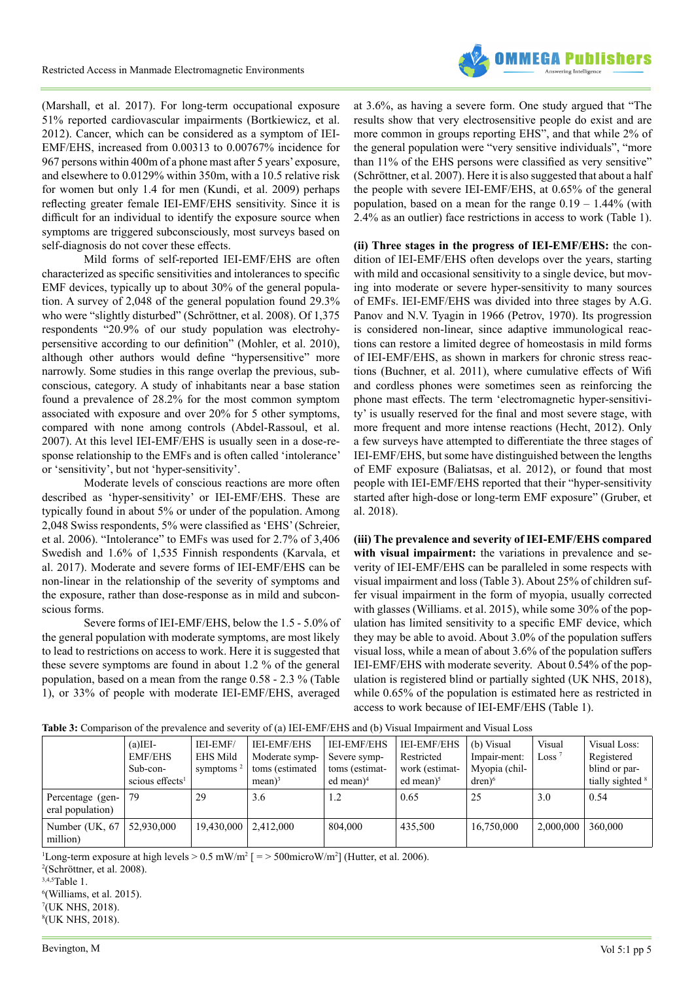

(Marshall, et al. 2017). For long-term occupational exposure 51% reported cardiovascular impairments (Bortkiewicz, et al. 2012). Cancer, which can be considered as a symptom of IEI-EMF/EHS, increased from 0.00313 to 0.00767% incidence for 967 persons within 400m of a phone mast after 5 years' exposure, and elsewhere to 0.0129% within 350m, with a 10.5 relative risk for women but only 1.4 for men (Kundi, et al. 2009) perhaps reflecting greater female IEI-EMF/EHS sensitivity. Since it is difficult for an individual to identify the exposure source when symptoms are triggered subconsciously, most surveys based on self-diagnosis do not cover these effects.

Mild forms of self-reported IEI-EMF/EHS are often characterized as specific sensitivities and intolerances to specific EMF devices, typically up to about 30% of the general population. A survey of 2,048 of the general population found 29.3% who were "slightly disturbed" (Schröttner, et al. 2008). Of 1,375 respondents "20.9% of our study population was electrohypersensitive according to our definition" (Mohler, et al. 2010), although other authors would define "hypersensitive" more narrowly. Some studies in this range overlap the previous, subconscious, category. A study of inhabitants near a base station found a prevalence of 28.2% for the most common symptom associated with exposure and over 20% for 5 other symptoms, compared with none among controls (Abdel-Rassoul, et al. 2007). At this level IEI-EMF/EHS is usually seen in a dose-response relationship to the EMFs and is often called 'intolerance' or 'sensitivity', but not 'hyper-sensitivity'.

Moderate levels of conscious reactions are more often described as 'hyper-sensitivity' or IEI-EMF/EHS. These are typically found in about 5% or under of the population. Among 2,048 Swiss respondents, 5% were classified as 'EHS' (Schreier, et al. 2006). "Intolerance" to EMFs was used for 2.7% of 3,406 Swedish and 1.6% of 1,535 Finnish respondents (Karvala, et al. 2017). Moderate and severe forms of IEI-EMF/EHS can be non-linear in the relationship of the severity of symptoms and the exposure, rather than dose-response as in mild and subconscious forms.

Severe forms of IEI-EMF/EHS, below the 1.5 - 5.0% of the general population with moderate symptoms, are most likely to lead to restrictions on access to work. Here it is suggested that these severe symptoms are found in about 1.2 % of the general population, based on a mean from the range 0.58 - 2.3 % (Table 1), or 33% of people with moderate IEI-EMF/EHS, averaged

at 3.6%, as having a severe form. One study argued that "The results show that very electrosensitive people do exist and are more common in groups reporting EHS", and that while 2% of the general population were "very sensitive individuals", "more than 11% of the EHS persons were classified as very sensitive" (Schröttner, et al. 2007). Here it is also suggested that about a half the people with severe IEI-EMF/EHS, at 0.65% of the general population, based on a mean for the range  $0.19 - 1.44\%$  (with 2.4% as an outlier) face restrictions in access to work (Table 1).

**(ii) Three stages in the progress of IEI-EMF/EHS:** the condition of IEI-EMF/EHS often develops over the years, starting with mild and occasional sensitivity to a single device, but moving into moderate or severe hyper-sensitivity to many sources of EMFs. IEI-EMF/EHS was divided into three stages by A.G. Panov and N.V. Tyagin in 1966 (Petrov, 1970). Its progression is considered non-linear, since adaptive immunological reactions can restore a limited degree of homeostasis in mild forms of IEI-EMF/EHS, as shown in markers for chronic stress reactions (Buchner, et al. 2011), where cumulative effects of Wifi and cordless phones were sometimes seen as reinforcing the phone mast effects. The term 'electromagnetic hyper-sensitivity' is usually reserved for the final and most severe stage, with more frequent and more intense reactions (Hecht, 2012). Only a few surveys have attempted to differentiate the three stages of IEI-EMF/EHS, but some have distinguished between the lengths of EMF exposure (Baliatsas, et al. 2012), or found that most people with IEI-EMF/EHS reported that their "hyper-sensitivity started after high-dose or long-term EMF exposure" (Gruber, et al. 2018).

**(iii) The prevalence and severity of IEI-EMF/EHS compared with visual impairment:** the variations in prevalence and severity of IEI-EMF/EHS can be paralleled in some respects with visual impairment and loss (Table 3). About 25% of children suffer visual impairment in the form of myopia, usually corrected with glasses (Williams. et al. 2015), while some 30% of the population has limited sensitivity to a specific EMF device, which they may be able to avoid. About 3.0% of the population suffers visual loss, while a mean of about 3.6% of the population suffers IEI-EMF/EHS with moderate severity. About 0.54% of the population is registered blind or partially sighted (UK NHS, 2018), while 0.65% of the population is estimated here as restricted in access to work because of IEI-EMF/EHS (Table 1).

|  | Table 3: Comparison of the prevalence and severity of (a) IEI-EMF/EHS and (b) Visual Impairment and Visual Loss |  |
|--|-----------------------------------------------------------------------------------------------------------------|--|
|--|-----------------------------------------------------------------------------------------------------------------|--|

|                                      | $(a)$ IEI-<br><b>EMF/EHS</b><br>Sub-con-<br>scious effects <sup>1</sup> | IEI-EMF/<br><b>EHS Mild</b><br>symptoms $^2$ | <b>IEI-EMF/EHS</b><br>Moderate symp-<br>toms (estimated<br>$mean$ <sup>3</sup> | <b>IEI-EMF/EHS</b><br>Severe symp-<br>toms (estimat-<br>ed mean $)^4$ | <b>IEI-EMF/EHS</b><br>Restricted<br>work (estimat-<br>ed mean $)^5$ | (b) Visual<br>Impair-ment:<br>Myopia (chil-<br>$dren)$ <sup>6</sup> | Visual<br>Loss <sup><math>7</math></sup> | Visual Loss:<br>Registered<br>blind or par-<br>tially sighted <sup>8</sup> |
|--------------------------------------|-------------------------------------------------------------------------|----------------------------------------------|--------------------------------------------------------------------------------|-----------------------------------------------------------------------|---------------------------------------------------------------------|---------------------------------------------------------------------|------------------------------------------|----------------------------------------------------------------------------|
| Percentage (gen-<br>eral population) | 79                                                                      | 29                                           | 3.6                                                                            | 1.2                                                                   | 0.65                                                                | 25                                                                  | 3.0                                      | 0.54                                                                       |
| Number (UK, 67<br>million)           | 52,930,000                                                              | 19,430,000                                   | 2,412,000                                                                      | 804,000                                                               | 435,500                                                             | 16,750,000                                                          | 2,000,000                                | 360,000                                                                    |

<sup>1</sup>Long-term exposure at high levels  $> 0.5$  mW/m<sup>2</sup> [ $=$   $> 500$ microW/m<sup>2</sup>] (Hutter, et al. 2006).

 (Schröttner, et al. 2008). 3,4,5Table 1. (Williams, et al. 2015). (UK NHS, 2018). (UK NHS, 2018).

Bevington, M Vol 5:1 pp 5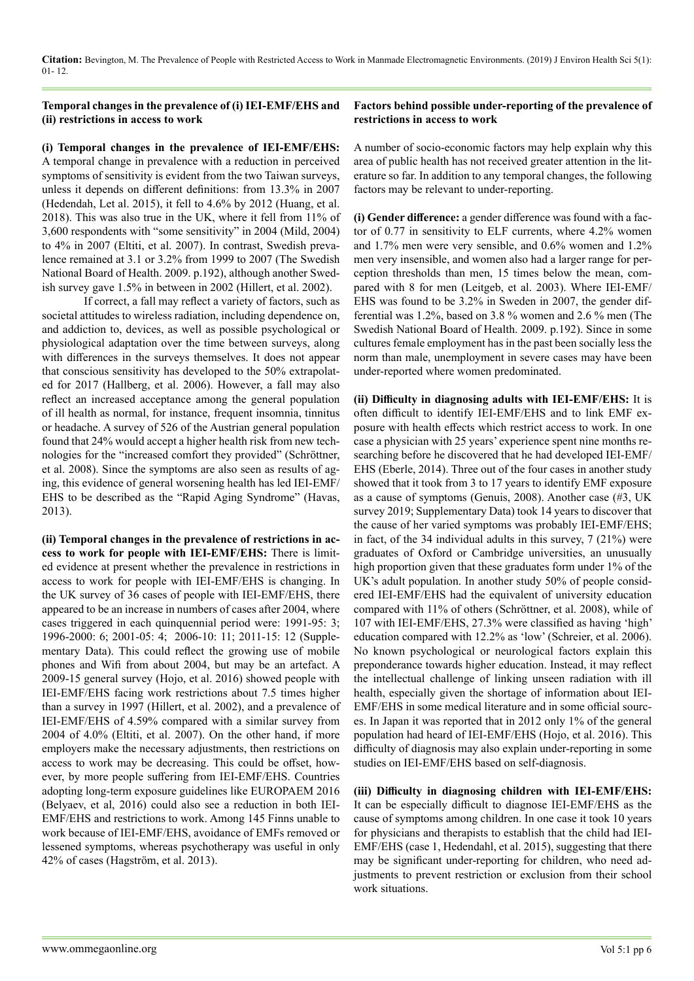#### **Temporal changes in the prevalence of (i) IEI-EMF/EHS and (ii) restrictions in access to work**

**(i) Temporal changes in the prevalence of IEI-EMF/EHS:** A temporal change in prevalence with a reduction in perceived symptoms of sensitivity is evident from the two Taiwan surveys, unless it depends on different definitions: from 13.3% in 2007 (Hedendah, Let al. 2015), it fell to 4.6% by 2012 (Huang, et al. 2018). This was also true in the UK, where it fell from 11% of 3,600 respondents with "some sensitivity" in 2004 (Mild, 2004) to 4% in 2007 (Eltiti, et al. 2007). In contrast, Swedish prevalence remained at 3.1 or 3.2% from 1999 to 2007 (The Swedish National Board of Health. 2009. p.192), although another Swedish survey gave 1.5% in between in 2002 (Hillert, et al. 2002).

If correct, a fall may reflect a variety of factors, such as societal attitudes to wireless radiation, including dependence on, and addiction to, devices, as well as possible psychological or physiological adaptation over the time between surveys, along with differences in the surveys themselves. It does not appear that conscious sensitivity has developed to the 50% extrapolated for 2017 (Hallberg, et al. 2006). However, a fall may also reflect an increased acceptance among the general population of ill health as normal, for instance, frequent insomnia, tinnitus or headache. A survey of 526 of the Austrian general population found that 24% would accept a higher health risk from new technologies for the "increased comfort they provided" (Schröttner, et al. 2008). Since the symptoms are also seen as results of aging, this evidence of general worsening health has led IEI-EMF/ EHS to be described as the "Rapid Aging Syndrome" (Havas, 2013).

**(ii) Temporal changes in the prevalence of restrictions in access to work for people with IEI-EMF/EHS:** There is limited evidence at present whether the prevalence in restrictions in access to work for people with IEI-EMF/EHS is changing. In the UK survey of 36 cases of people with IEI-EMF/EHS, there appeared to be an increase in numbers of cases after 2004, where cases triggered in each quinquennial period were: 1991-95: 3; 1996-2000: 6; 2001-05: 4; 2006-10: 11; 2011-15: 12 (Supplementary Data). This could reflect the growing use of mobile phones and Wifi from about 2004, but may be an artefact. A 2009-15 general survey (Hojo, et al. 2016) showed people with IEI-EMF/EHS facing work restrictions about 7.5 times higher than a survey in 1997 (Hillert, et al. 2002), and a prevalence of IEI-EMF/EHS of 4.59% compared with a similar survey from 2004 of 4.0% (Eltiti, et al. 2007). On the other hand, if more employers make the necessary adjustments, then restrictions on access to work may be decreasing. This could be offset, however, by more people suffering from IEI-EMF/EHS. Countries adopting long-term exposure guidelines like EUROPAEM 2016 (Belyaev, et al, 2016) could also see a reduction in both IEI-EMF/EHS and restrictions to work. Among 145 Finns unable to work because of IEI-EMF/EHS, avoidance of EMFs removed or lessened symptoms, whereas psychotherapy was useful in only 42% of cases (Hagström, et al. 2013).

#### **Factors behind possible under-reporting of the prevalence of restrictions in access to work**

A number of socio-economic factors may help explain why this area of public health has not received greater attention in the literature so far. In addition to any temporal changes, the following factors may be relevant to under-reporting.

**(i) Gender difference:** a gender difference was found with a factor of 0.77 in sensitivity to ELF currents, where 4.2% women and 1.7% men were very sensible, and 0.6% women and 1.2% men very insensible, and women also had a larger range for perception thresholds than men, 15 times below the mean, compared with 8 for men (Leitgeb, et al. 2003). Where IEI-EMF/ EHS was found to be 3.2% in Sweden in 2007, the gender differential was 1.2%, based on 3.8 % women and 2.6 % men (The Swedish National Board of Health. 2009. p.192). Since in some cultures female employment has in the past been socially less the norm than male, unemployment in severe cases may have been under-reported where women predominated.

**(ii) Difficulty in diagnosing adults with IEI-EMF/EHS:** It is often difficult to identify IEI-EMF/EHS and to link EMF exposure with health effects which restrict access to work. In one case a physician with 25 years' experience spent nine months researching before he discovered that he had developed IEI-EMF/ EHS (Eberle, 2014). Three out of the four cases in another study showed that it took from 3 to 17 years to identify EMF exposure as a cause of symptoms (Genuis, 2008). Another case (#3, UK survey 2019; Supplementary Data) took 14 years to discover that the cause of her varied symptoms was probably IEI-EMF/EHS; in fact, of the 34 individual adults in this survey, 7 (21%) were graduates of Oxford or Cambridge universities, an unusually high proportion given that these graduates form under 1% of the UK's adult population. In another study 50% of people considered IEI-EMF/EHS had the equivalent of university education compared with 11% of others (Schröttner, et al. 2008), while of 107 with IEI-EMF/EHS, 27.3% were classified as having 'high' education compared with 12.2% as 'low' (Schreier, et al. 2006). No known psychological or neurological factors explain this preponderance towards higher education. Instead, it may reflect the intellectual challenge of linking unseen radiation with ill health, especially given the shortage of information about IEI-EMF/EHS in some medical literature and in some official sources. In Japan it was reported that in 2012 only 1% of the general population had heard of IEI-EMF/EHS (Hojo, et al. 2016). This difficulty of diagnosis may also explain under-reporting in some studies on IEI-EMF/EHS based on self-diagnosis.

**(iii) Difficulty in diagnosing children with IEI-EMF/EHS:** It can be especially difficult to diagnose IEI-EMF/EHS as the cause of symptoms among children. In one case it took 10 years for physicians and therapists to establish that the child had IEI-EMF/EHS (case 1, Hedendahl, et al. 2015), suggesting that there may be significant under-reporting for children, who need adjustments to prevent restriction or exclusion from their school work situations.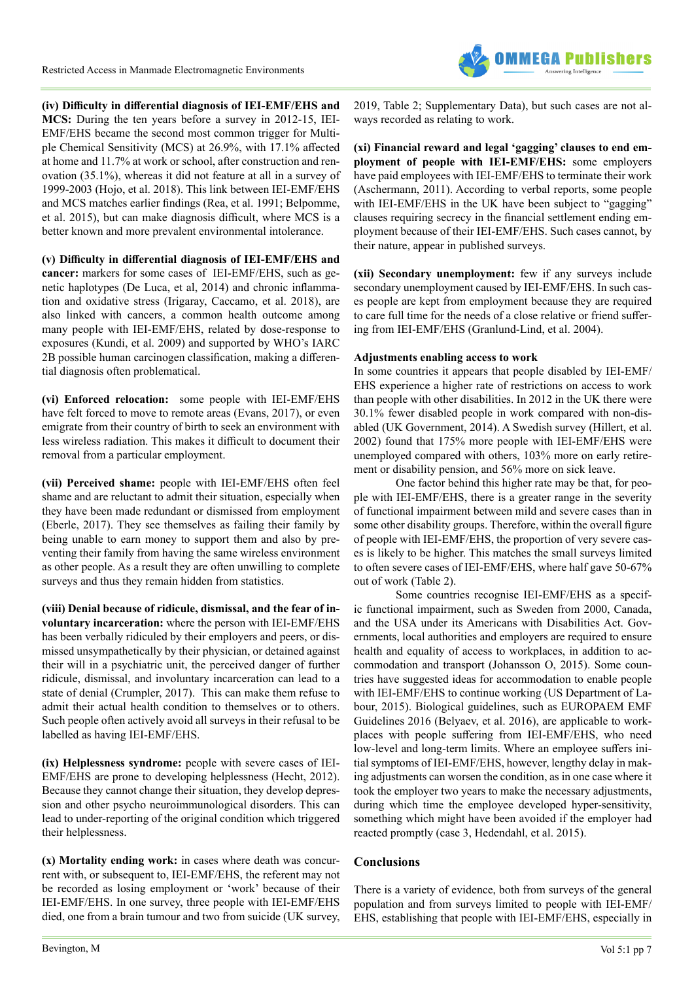

**(iv) Difficulty in differential diagnosis of IEI-EMF/EHS and MCS:** During the ten years before a survey in 2012-15, IEI-EMF/EHS became the second most common trigger for Multiple Chemical Sensitivity (MCS) at 26.9%, with 17.1% affected at home and 11.7% at work or school, after construction and renovation (35.1%), whereas it did not feature at all in a survey of 1999-2003 (Hojo, et al. 2018). This link between IEI-EMF/EHS and MCS matches earlier findings (Rea, et al. 1991; Belpomme, et al. 2015), but can make diagnosis difficult, where MCS is a better known and more prevalent environmental intolerance.

**(v) Difficulty in differential diagnosis of IEI-EMF/EHS and cancer:** markers for some cases of IEI-EMF/EHS, such as genetic haplotypes (De Luca, et al, 2014) and chronic inflammation and oxidative stress (Irigaray, Caccamo, et al. 2018), are also linked with cancers, a common health outcome among many people with IEI-EMF/EHS, related by dose-response to exposures (Kundi, et al. 2009) and supported by WHO's IARC 2B possible human carcinogen classification, making a differential diagnosis often problematical.

**(vi) Enforced relocation:** some people with IEI-EMF/EHS have felt forced to move to remote areas (Evans, 2017), or even emigrate from their country of birth to seek an environment with less wireless radiation. This makes it difficult to document their removal from a particular employment.

**(vii) Perceived shame:** people with IEI-EMF/EHS often feel shame and are reluctant to admit their situation, especially when they have been made redundant or dismissed from employment (Eberle, 2017). They see themselves as failing their family by being unable to earn money to support them and also by preventing their family from having the same wireless environment as other people. As a result they are often unwilling to complete surveys and thus they remain hidden from statistics.

**(viii) Denial because of ridicule, dismissal, and the fear of involuntary incarceration:** where the person with IEI-EMF/EHS has been verbally ridiculed by their employers and peers, or dismissed unsympathetically by their physician, or detained against their will in a psychiatric unit, the perceived danger of further ridicule, dismissal, and involuntary incarceration can lead to a state of denial (Crumpler, 2017). This can make them refuse to admit their actual health condition to themselves or to others. Such people often actively avoid all surveys in their refusal to be labelled as having IEI-EMF/EHS.

**(ix) Helplessness syndrome:** people with severe cases of IEI-EMF/EHS are prone to developing helplessness (Hecht, 2012). Because they cannot change their situation, they develop depression and other psycho neuroimmunological disorders. This can lead to under-reporting of the original condition which triggered their helplessness.

**(x) Mortality ending work:** in cases where death was concurrent with, or subsequent to, IEI-EMF/EHS, the referent may not be recorded as losing employment or 'work' because of their IEI-EMF/EHS. In one survey, three people with IEI-EMF/EHS died, one from a brain tumour and two from suicide (UK survey,

2019, Table 2; Supplementary Data), but such cases are not always recorded as relating to work.

**(xi) Financial reward and legal 'gagging' clauses to end employment of people with IEI-EMF/EHS:** some employers have paid employees with IEI-EMF/EHS to terminate their work (Aschermann, 2011). According to verbal reports, some people with IEI-EMF/EHS in the UK have been subject to "gagging" clauses requiring secrecy in the financial settlement ending employment because of their IEI-EMF/EHS. Such cases cannot, by their nature, appear in published surveys.

**(xii) Secondary unemployment:** few if any surveys include secondary unemployment caused by IEI-EMF/EHS. In such cases people are kept from employment because they are required to care full time for the needs of a close relative or friend suffering from IEI-EMF/EHS (Granlund-Lind, et al. 2004).

#### **Adjustments enabling access to work**

In some countries it appears that people disabled by IEI-EMF/ EHS experience a higher rate of restrictions on access to work than people with other disabilities. In 2012 in the UK there were 30.1% fewer disabled people in work compared with non-disabled (UK Government, 2014). A Swedish survey (Hillert, et al. 2002) found that 175% more people with IEI-EMF/EHS were unemployed compared with others, 103% more on early retirement or disability pension, and 56% more on sick leave.

One factor behind this higher rate may be that, for people with IEI-EMF/EHS, there is a greater range in the severity of functional impairment between mild and severe cases than in some other disability groups. Therefore, within the overall figure of people with IEI-EMF/EHS, the proportion of very severe cases is likely to be higher. This matches the small surveys limited to often severe cases of IEI-EMF/EHS, where half gave 50-67% out of work (Table 2).

Some countries recognise IEI-EMF/EHS as a specific functional impairment, such as Sweden from 2000, Canada, and the USA under its Americans with Disabilities Act. Governments, local authorities and employers are required to ensure health and equality of access to workplaces, in addition to accommodation and transport (Johansson O, 2015). Some countries have suggested ideas for accommodation to enable people with IEI-EMF/EHS to continue working (US Department of Labour, 2015). Biological guidelines, such as EUROPAEM EMF Guidelines 2016 (Belyaev, et al. 2016), are applicable to workplaces with people suffering from IEI-EMF/EHS, who need low-level and long-term limits. Where an employee suffers initial symptoms of IEI-EMF/EHS, however, lengthy delay in making adjustments can worsen the condition, as in one case where it took the employer two years to make the necessary adjustments, during which time the employee developed hyper-sensitivity, something which might have been avoided if the employer had reacted promptly (case 3, Hedendahl, et al. 2015).

#### **Conclusions**

There is a variety of evidence, both from surveys of the general population and from surveys limited to people with IEI-EMF/ EHS, establishing that people with IEI-EMF/EHS, especially in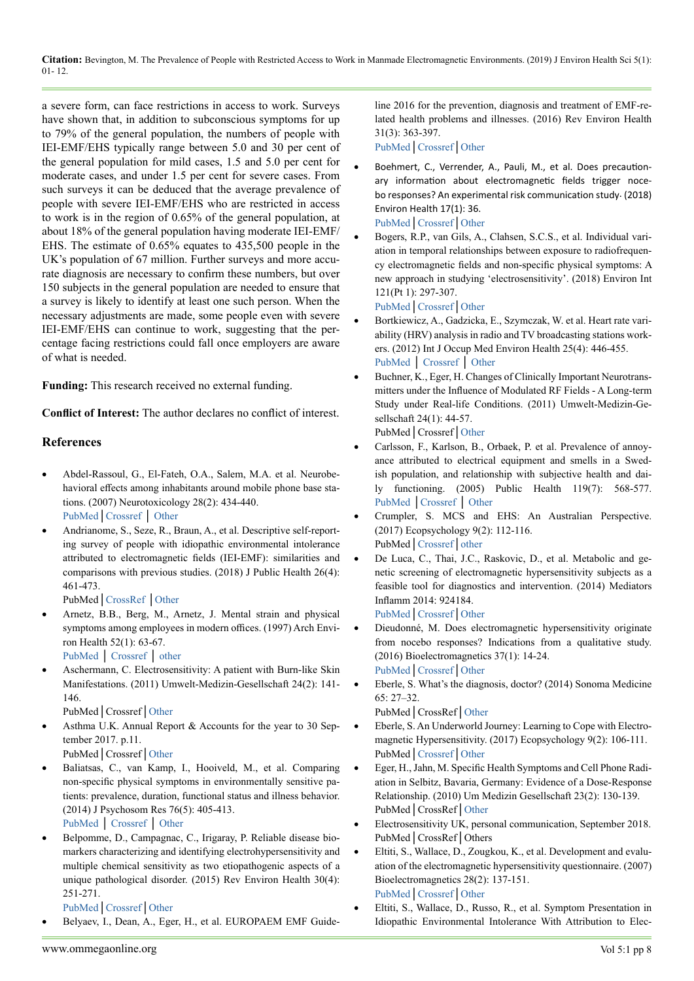a severe form, can face restrictions in access to work. Surveys have shown that, in addition to subconscious symptoms for up to 79% of the general population, the numbers of people with IEI-EMF/EHS typically range between 5.0 and 30 per cent of the general population for mild cases, 1.5 and 5.0 per cent for moderate cases, and under 1.5 per cent for severe cases. From such surveys it can be deduced that the average prevalence of people with severe IEI-EMF/EHS who are restricted in access to work is in the region of 0.65% of the general population, at about 18% of the general population having moderate IEI-EMF/ EHS. The estimate of 0.65% equates to 435,500 people in the UK's population of 67 million. Further surveys and more accurate diagnosis are necessary to confirm these numbers, but over 150 subjects in the general population are needed to ensure that a survey is likely to identify at least one such person. When the necessary adjustments are made, some people even with severe IEI-EMF/EHS can continue to work, suggesting that the percentage facing restrictions could fall once employers are aware of what is needed.

**Funding:** This research received no external funding.

**Conflict of Interest:** The author declares no conflict of interest.

### **References**

- Abdel-Rassoul, G., El-Fateh, O.A., Salem, M.A. et al. Neurobehavioral effects among inhabitants around mobile phone base stations. (2007) Neurotoxicology 28(2): 434-440. [PubMed](https://www.ncbi.nlm.nih.gov/pubmed/16962663)│[Crossref](https://doi.org/10.1016/j.neuro.2006.07.012) │ [Other](https://www.sciencedirect.com/science/article/pii/S0161813X06001835?via%3Dihub)
- Andrianome, S., Seze, R., Braun, A., et al. Descriptive self-reporting survey of people with idiopathic environmental intolerance attributed to electromagnetic fields (IEI-EMF): similarities and comparisons with previous studies. (2018) J Public Health 26(4): 461-473.

PubMed│[CrossRef](https://doi.org/10.1007/s10389-017-0886-0) │[Other](https://link.springer.com/article/10.1007/s10389-017-0886-0)

Arnetz, B.B., Berg, M., Arnetz, J. Mental strain and physical symptoms among employees in modern offices. (1997) Arch Environ Health 52(1): 63-67.

[PubMed](https://www.ncbi.nlm.nih.gov/pubmed/9039860) │ [Crossref](https://doi.org/10.1080/00039899709603802) │ [other](https://www.tandfonline.com/doi/abs/10.1080/00039899709603802)

Aschermann, C. Electrosensitivity: A patient with Burn-like Skin Manifestations. (2011) Umwelt-Medizin-Gesellschaft 24(2): 141- 146.

PubMed│Crossref│[Other](http://media.withtank.com/71ada80e9b/aschermann_electrosensitivity_final_20111.pdf)

Asthma U.K. Annual Report  $&$  Accounts for the year to 30 September 2017. p.11.

PubMed│Crossref│[Other](https://www.asthma.org.uk/globalassets/about/asthma-uk-annual-report-2016-17.pdf)

Baliatsas, C., van Kamp, I., Hooiveld, M., et al. Comparing non-specific physical symptoms in environmentally sensitive patients: prevalence, duration, functional status and illness behavior. (2014) J Psychosom Res 76(5): 405-413.

[PubMed](https://www.ncbi.nlm.nih.gov/pubmed/24745783) │ [Crossref](https://doi.org/10.1016/j.jpsychores.2014.02.008) │ [Other](https://www.sciencedirect.com/science/article/pii/S0022399914000506?via%3Dihub)

Belpomme, D., Campagnac, C., Irigaray, P. Reliable disease biomarkers characterizing and identifying electrohypersensitivity and multiple chemical sensitivity as two etiopathogenic aspects of a unique pathological disorder. (2015) Rev Environ Health 30(4): 251-271.

[PubMed](https://www.ncbi.nlm.nih.gov/pubmed/26613326)│[Crossref](https://doi.org/doi:%2010.1515/reveh-2015-0027.)│[Other](https://www.degruyter.com/view/j/reveh.2015.30.issue-4/reveh-2015-0027/reveh-2015-0027.xml)

Belyaev, I., Dean, A., Eger, H., et al. EUROPAEM EMF Guide-

line 2016 for the prevention, diagnosis and treatment of EMF-related health problems and illnesses. (2016) Rev Environ Health 31(3): 363-397.

[PubMed](https://www.ncbi.nlm.nih.gov/pubmed/27454111)│[Crossref](https://doi.org/10.1515/reveh-2016-0011)│[Other](https://www.degruyter.com/view/j/reveh.2016.31.issue-3/reveh-2016-0011/reveh-2016-0011.xml)

- Boehmert, C., Verrender, A., Pauli, M., et al. Does precautionary information about electromagnetic fields trigger nocebo responses? An experimental risk communication study. (2018) Environ Health 17(1): 36. [PubMed](https://www.ncbi.nlm.nih.gov/pubmed/29650009)│[Crossref](https://doi.org/10.1186/s12940-018-0377-y)│[Other](https://ehjournal.biomedcentral.com/articles/10.1186/s12940-018-0377-y)
- Bogers, R.P., van Gils, A., Clahsen, S.C.S., et al. Individual variation in temporal relationships between exposure to radiofrequency electromagnetic fields and non-specific physical symptoms: A new approach in studying 'electrosensitivity'. (2018) Environ Int 121(Pt 1): 297-307.

[PubMed](https://www.ncbi.nlm.nih.gov/pubmed/30227317)│[Crossref](https://doi.org/10.1016/j.envint.2018.08.064)│[Other](https://www.sciencedirect.com/science/article/pii/S0160412018303088?via%3Dihub)

- Bortkiewicz, A., Gadzicka, E., Szymczak, W. et al. Heart rate variability (HRV) analysis in radio and TV broadcasting stations workers. (2012) Int J Occup Med Environ Health 25(4): 446-455. [PubMed](https://www.ncbi.nlm.nih.gov/pubmed/23224733) │ [Crossref](https://doi.org/10.2478/s13382-012-0059-x) │ [Other](http://ijomeh.eu/Heart-rate-variability-hrv-analysis-in-radio-and-tv-broadcasting-stations-workers,2236,0,2.html)
- Buchner, K., Eger, H. Changes of Clinically Important Neurotransmitters under the Influence of Modulated RF Fields - A Long-term Study under Real-life Conditions. (2011) Umwelt-Medizin-Gesellschaft 24(1): 44-57.

PubMed│Crossref│[Other](https://www.avaate.org/IMG/pdf/Rimbach-Study-20112.pdf)

- Carlsson, F., Karlson, B., Orbaek, P. et al. Prevalence of annoyance attributed to electrical equipment and smells in a Swedish population, and relationship with subjective health and daily functioning. (2005) Public Health 119(7): 568-577. [PubMed](https://www.ncbi.nlm.nih.gov/pubmed/15925670) │[Crossref](https://doi.org/10.1016/j.puhe.2004.07.011) │ [Other](https://linkinghub.elsevier.com/retrieve/pii/S0033-3506(04)00229-X)
- Crumpler, S. MCS and EHS: An Australian Perspective. (2017) Ecopsychology 9(2): 112-116. PubMed│[Crossref](https://doi.org/10.1089/eco.2016.0041)│[other](https://www.liebertpub.com/doi/abs/10.1089/eco.2016.0041)
- De Luca, C., Thai, J.C., Raskovic, D., et al. Metabolic and genetic screening of electromagnetic hypersensitivity subjects as a feasible tool for diagnostics and intervention. (2014) Mediators Inflamm 2014: 924184. [PubMed](https://www.ncbi.nlm.nih.gov/pubmed/24812443)│[Crossref](https://doi.org/10.1155/2014/924184)│[Other](https://www.hindawi.com/journals/mi/2014/924184/)
- Dieudonné, M. Does electromagnetic hypersensitivity originate from nocebo responses? Indications from a qualitative study. (2016) Bioelectromagnetics 37(1): 14-24. [PubMed](http://www.ncbi.nlm.nih.gov/pubmed/26369906)│[Crossref](https://doi.org/10.1002/bem.21937)│[Other](https://onlinelibrary.wiley.com/doi/abs/10.1002/bem.21937)
- Eberle, S. What's the diagnosis, doctor? (2014) Sonoma Medicine 65: 27–32.

PubMed│CrossRef│[Other](http://www.cqlpe.ca/pdf/What)

- Eberle, S. An Underworld Journey: Learning to Cope with Electromagnetic Hypersensitivity. (2017) Ecopsychology 9(2): 106-111. PubMed│[Crossref](https://doi.org/10.1089/eco.2016.0036)│[Other](https://www.liebertpub.com/doi/abs/10.1089/eco.2016.0036)
- Eger, H., Jahn, M. Specific Health Symptoms and Cell Phone Radiation in Selbitz, Bavaria, Germany: Evidence of a Dose-Response Relationship. (2010) Um Medizin Gesellschaft 23(2): 130-139. PubMed│CrossRef│[Other](http://www.next-up.org/pdf/Horst_Eger_Manfred_Jahn_Scientific_Health_Symptoms_and_Cell_Phone_Radiation_in_Selbitz_Germany_2010.pdf)
- Electrosensitivity UK, personal communication, September 2018. PubMed│CrossRef│Others
- Eltiti, S., Wallace, D., Zougkou, K., et al. Development and evaluation of the electromagnetic hypersensitivity questionnaire. (2007) Bioelectromagnetics 28(2): 137-151. [PubMed](https://www.ncbi.nlm.nih.gov/pubmed/17013888)│[Crossref](https://doi.org/10.1002/bem.20279)│[Other](https://onlinelibrary.wiley.com/doi/abs/10.1002/bem.20279)
- Eltiti, S., Wallace, D., Russo, R., et al. Symptom Presentation in Idiopathic Environmental Intolerance With Attribution to Elec-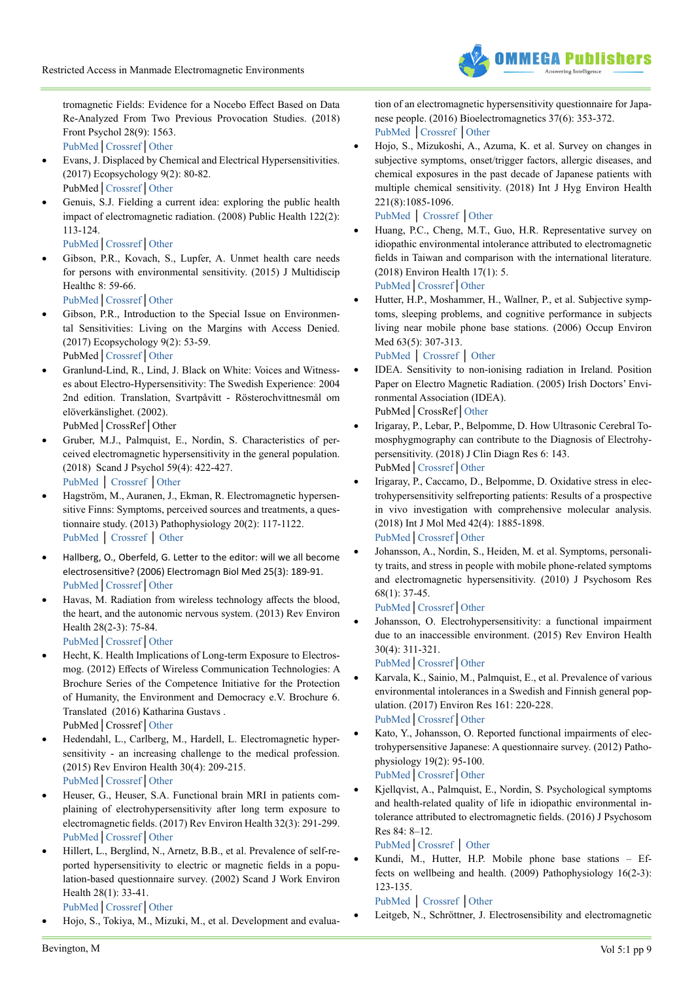

tromagnetic Fields: Evidence for a Nocebo Effect Based on Data Re-Analyzed From Two Previous Provocation Studies. (2018) Front Psychol 28(9): 1563.

[PubMed](https://www.ncbi.nlm.nih.gov/pubmed/30210397)│[Crossref](https://doi.org/10.3389/fpsyg.2018.01563)│[Other](https://www.frontiersin.org/articles/10.3389/fpsyg.2018.01563/full)

- Evans, J. Displaced by Chemical and Electrical Hypersensitivities. (2017) Ecopsychology 9(2): 80-82. PubMed│[Crossref](https://doi.org/10.1089/eco.2017.0010)│[Other](https://www.liebertpub.com/doi/full/10.1089/eco.2017.0010)
- Genuis, S.J. Fielding a current idea: exploring the public health impact of electromagnetic radiation. (2008) Public Health 122(2): 113-124.
	- [PubMed](https://www.ncbi.nlm.nih.gov/pubmed/17572456)│[Crossref](https://doi.org/10.1016/j.puhe.2007.04.008)│[Other](https://www.sciencedirect.com/science/article/pii/S0033350607001394?via%3Dihub)
- Gibson, P.R., Kovach, S., Lupfer, A. Unmet health care needs for persons with environmental sensitivity. (2015) J Multidiscip Healthc 8: 59-66.

[PubMed](https://www.ncbi.nlm.nih.gov/pubmed/25670904)│[Crossref](https://doi.org/10.2147/JMDH.S61723)│[Other](https://www.dovepress.com/unmet-health-care-needs-for-persons-with-environmental-sensitivity-peer-reviewed-article-JMDH)

- Gibson, P.R., Introduction to the Special Issue on Environmental Sensitivities: Living on the Margins with Access Denied. (2017) Ecopsychology 9(2): 53-59. PubMed│[Crossref](https://doi.org/10.1089/eco.2017.0017)│[Other](https://www.liebertpub.com/doi/full/10.1089/eco.2017.0017)
- Granlund-Lind, R., Lind, J. Black on White: Voices and Witnesses about Electro-Hypersensitivity: The Swedish Experience: 2004 2nd edition. Translation, Svartpåvitt - Rösterochvittnesmål om elöverkänslighet. (2002).

PubMed│CrossRef│Other

- Gruber, M.J., Palmquist, E., Nordin, S. Characteristics of perceived electromagnetic hypersensitivity in the general population. (2018) Scand J Psychol 59(4): 422-427. [PubMed](https://www.ncbi.nlm.nih.gov/pubmed/29741795) │ [Crossref](https://doi.org/10.1111/sjop.12449) │[Other](https://onlinelibrary.wiley.com/doi/abs/10.1111/sjop.12449)
- Hagström, M., Auranen, J., Ekman, R. Electromagnetic hypersensitive Finns: Symptoms, perceived sources and treatments, a questionnaire study. (2013) Pathophysiology 20(2): 117-1122. [PubMed](https://www.ncbi.nlm.nih.gov/pubmed/23557856) │ [Crossref](https://doi.org/10.1016/j.pathophys.2013.02.001) │ [Other](https://linkinghub.elsevier.com/retrieve/pii/S0928-4680(13)00002-3)
- Hallberg, O., Oberfeld, G. Letter to the editor: will we all become electrosensitive? (2006) Electromagn Biol Med 25(3): 189-91. [PubMed](https://www.ncbi.nlm.nih.gov/pubmed/16954121)│[Crossref](https://doi.org/10.1080/15368370600873377)│[Other](https://www.tandfonline.com/doi/abs/10.1080/15368370600873377?journalCode=iebm20)
- Havas, M. Radiation from wireless technology affects the blood, the heart, and the autonomic nervous system. (2013) Rev Environ Health 28(2-3): 75-84.

[PubMed](https://www.ncbi.nlm.nih.gov/pubmed/24192494)│[Crossref](https://doi.org/10.1515/reveh-2013-0004)│[Other](https://www.degruyter.com/view/j/reveh.2013.28.issue-2-3/reveh-2013-0004/reveh-2013-0004.xml)

- Hecht, K. Health Implications of Long-term Exposure to Electrosmog. (2012) Effects of Wireless Communication Technologies: A Brochure Series of the Competence Initiative for the Protection of Humanity, the Environment and Democracy e.V. Brochure 6. Translated (2016) Katharina Gustavs . PubMed│Crossref│[Other](http://kompetenzinitiative.net/KIT/wp-content/uploads/2016/07/KI_Brochure-6_K_Hecht_web.pdf)
- Hedendahl, L., Carlberg, M., Hardell, L. Electromagnetic hypersensitivity - an increasing challenge to the medical profession. (2015) Rev Environ Health 30(4): 209-215. [PubMed](https://www.ncbi.nlm.nih.gov/pubmed/26372109)│[Crossref](https://doi.org/10.1515/reveh-2015-0012)│[Other](https://www.degruyter.com/view/j/reveh.2015.30.issue-4/reveh-2015-0012/reveh-2015-0012.xml)
- Heuser, G., Heuser, S.A. Functional brain MRI in patients complaining of electrohypersensitivity after long term exposure to electromagnetic fields. (2017) Rev Environ Health 32(3): 291-299. [PubMed](https://www.ncbi.nlm.nih.gov/pubmed/28678737)│[Crossref](https://doi.org/10.1515/reveh-2017-0014)│[Other](https://www.degruyter.com/view/j/reveh.2017.32.issue-3/reveh-2017-0014/reveh-2017-0014.xml)
- Hillert, L., Berglind, N., Arnetz, B.B., et al. Prevalence of self-reported hypersensitivity to electric or magnetic fields in a population-based questionnaire survey. (2002) Scand J Work Environ Health 28(1): 33-41.

[PubMed](https://www.ncbi.nlm.nih.gov/pubmed/11871850)│[Crossref](https://doi.org/10.5271/sjweh.644)│[Other](http://www.sjweh.fi/show_abstract.php?abstract_id=644)

Hojo, S., Tokiya, M., Mizuki, M., et al. Development and evalua-

tion of an electromagnetic hypersensitivity questionnaire for Japanese people. (2016) Bioelectromagnetics 37(6): 353-372. [PubMed](https://www.ncbi.nlm.nih.gov/pubmed/27324106) │[Crossref](https://doi.org/10.1002/bem.21987) │[Other](https://onlinelibrary.wiley.com/doi/full/10.1002/bem.21987)

Hojo, S., Mizukoshi, A., Azuma, K. et al. Survey on changes in subjective symptoms, onset/trigger factors, allergic diseases, and chemical exposures in the past decade of Japanese patients with multiple chemical sensitivity. (2018) Int J Hyg Environ Health 221(8):1085-1096.

[PubMed](https://www.ncbi.nlm.nih.gov/pubmed/30115513) │ [Crossref](https://doi.org/10.1016/j.ijheh.2018.08.001) │[Other](https://www.sciencedirect.com/science/article/pii/S1438463918302712?via%3Dihub)

- Huang, P.C., Cheng, M.T., Guo, H.R. Representative survey on idiopathic environmental intolerance attributed to electromagnetic fields in Taiwan and comparison with the international literature. (2018) Environ Health 17(1): 5. [PubMed](https://www.ncbi.nlm.nih.gov/pubmed/29334987)│[Crossref](https://doi.org/10.1186/s12940-018-0351-8)│[Other](https://ehjournal.biomedcentral.com/articles/10.1186/s12940-018-0351-8)
- Hutter, H.P., Moshammer, H., Wallner, P., et al. Subjective symptoms, sleeping problems, and cognitive performance in subjects living near mobile phone base stations. (2006) Occup Environ Med 63(5): 307-313.

[PubMed](https://www.ncbi.nlm.nih.gov/pubmed/16621850) │ [Crossref](https://doi.org/10.1136/oem.2005.020784) │ [Other](https://oem.bmj.com/content/63/5/307.long)

- IDEA. Sensitivity to non-ionising radiation in Ireland. Position Paper on Electro Magnetic Radiation. (2005) Irish Doctors' Environmental Association (IDEA). PubMed│CrossRef│[Other](http://www.peccem.org/DocumentacionDescarga/ElectroHiperSensibilidad/abstract_Irelan.pdf)
- Irigaray, P., Lebar, P., Belpomme, D. How Ultrasonic Cerebral Tomosphygmography can contribute to the Diagnosis of Electrohypersensitivity. (2018) J Clin Diagn Res 6: 143. PubMed│[Crossref](https://doi.org/%2010.4172/2376-0311.1000142)│[Other](H://Irigaray%20P/Irigaray-2018-ultrasonic-cerebral-tomosphygmography-UCTS-EHS.pdf)
- Irigaray, P., Caccamo, D., Belpomme, D. Oxidative stress in electrohypersensitivity selfreporting patients: Results of a prospective in vivo investigation with comprehensive molecular analysis. (2018) Int J Mol Med 42(4): 1885-1898. [PubMed](https://www.ncbi.nlm.nih.gov/pubmed/30015864)│[Crossref](https://doi.org/10.3892/ijmm.2018.3774)│[Other](https://www.spandidos-publications.com/10.3892/ijmm.2018.3774)
- Johansson, A., Nordin, S., Heiden, M. et al. Symptoms, personality traits, and stress in people with mobile phone-related symptoms and electromagnetic hypersensitivity. (2010) J Psychosom Res 68(1): 37-45.

[PubMed](https://www.ncbi.nlm.nih.gov/pubmed/20004299)│[Crossref](https://doi.org/10.1016/j.jpsychores.2009.06.009)│[Other](https://www.sciencedirect.com/science/article/pii/S0022399909002633?via%3Dihub)

Johansson, O. Electrohypersensitivity: a functional impairment due to an inaccessible environment. (2015) Rev Environ Health 30(4): 311-321.

[PubMed](https://www.ncbi.nlm.nih.gov/pubmed/26613327)│[Crossref](https://doi.org/10.1515/reveh-2015-0018)│[Other](https://www.degruyter.com/view/j/reveh.2015.30.issue-4/reveh-2015-0018/reveh-2015-0018.xml)

- Karvala, K., Sainio, M., Palmquist, E., et al. Prevalence of various environmental intolerances in a Swedish and Finnish general population. (2017) Environ Res 161: 220-228. [PubMed](https://www.ncbi.nlm.nih.gov/pubmed/29161654)│[Crossref](https://doi.org/10.1016/j.envres.2017.11.014)│[Other](https://www.sciencedirect.com/science/article/pii/S001393511731263X?via%3Dihub)
- Kato, Y., Johansson, O. Reported functional impairments of electrohypersensitive Japanese: A questionnaire survey. (2012) Pathophysiology 19(2): 95-100. [PubMed](https://www.ncbi.nlm.nih.gov/pubmed/22458999)│[Crossref](https://doi.org/10.1016/j.pathophys.2012.02.002)│[Other](https://linkinghub.elsevier.com/retrieve/pii/S0928468012000442)
- Kjellqvist, A., Palmquist, E., Nordin, S. Psychological symptoms and health-related quality of life in idiopathic environmental intolerance attributed to electromagnetic fields. (2016) J Psychosom Res 84: 8–12.

[PubMed](https://www.ncbi.nlm.nih.gov/pubmed/27095153)│[Crossref](https://doi.org/10.1016/j.jpsychores.2016.03.006) │ [Other](https://www.sciencedirect.com/science/article/pii/S0022399916300423?via%3Dihub)

Kundi, M., Hutter, H.P. Mobile phone base stations - Effects on wellbeing and health. (2009) Pathophysiology 16(2-3): 123-135.

[PubMed](https://www.ncbi.nlm.nih.gov/pubmed/19261451) │ [Crossref](https://doi.org/10.1016/j.pathophys.2009.01.008) │[Other](https://www.pathophysiologyjournal.com/article/S0928-4680(09)00011-X/fulltext)

Leitgeb, N., Schröttner, J. Electrosensibility and electromagnetic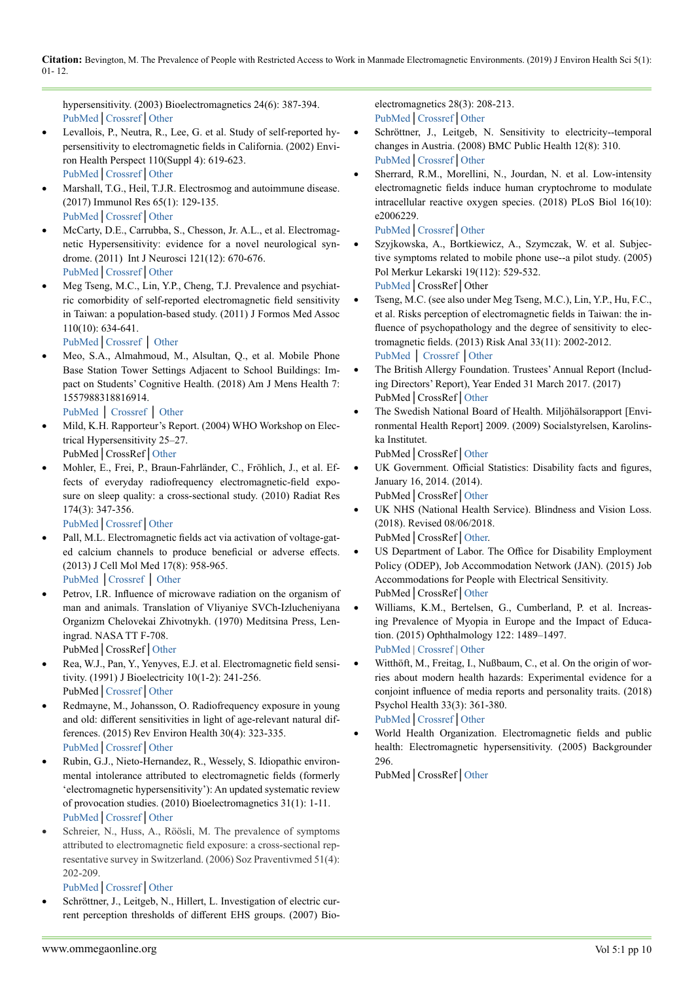hypersensitivity. (2003) Bioelectromagnetics 24(6): 387-394. [PubMed](http://www.ncbi.nlm.nih.gov/pubmed/12929157)│[Crossref](https://doi.org/10.1002/bem.10138)│[Other](https://onlinelibrary.wiley.com/doi/abs/10.1002/bem.10138)

- Levallois, P., Neutra, R., Lee, G. et al. Study of self-reported hypersensitivity to electromagnetic fields in California. (2002) Environ Health Perspect 110(Suppl 4): 619-623. [PubMed](https://www.ncbi.nlm.nih.gov/pubmed/12194896)│[Crossref](https://doi.org/10.1289/ehp.02110s4619)│[Other](https://doi.org/10.1289/ehp.02110s4619)
- Marshall, T.G., Heil, T.J.R. Electrosmog and autoimmune disease. (2017) Immunol Res 65(1): 129-135. [PubMed](https://www.ncbi.nlm.nih.gov/pubmed/27412293)│[Crossref](https://doi.org/10.1007/s12026-016-8825-7)│[Other](https://link.springer.com/article/10.1007%2Fs12026-016-8825-7)
- McCarty, D.E., Carrubba, S., Chesson, Jr. A.L., et al. Electromagnetic Hypersensitivity: evidence for a novel neurological syndrome. (2011) Int J Neurosci 121(12): 670-676. [PubMed](https://www.ncbi.nlm.nih.gov/pubmed/21793784)│[Crossref](https://doi.org/10.3109/00207454.2011.608139)│[Other](https://www.tandfonline.com/doi/abs/10.3109/00207454.2011.608139?journalCode=ines20)
- Meg Tseng, M.C., Lin, Y.P., Cheng, T.J. Prevalence and psychiatric comorbidity of self-reported electromagnetic field sensitivity in Taiwan: a population-based study. (2011) J Formos Med Assoc 110(10): 634-641.

[PubMed](https://www.ncbi.nlm.nih.gov/pubmed/21982467)│[Crossref](https://doi.org/10.1016/j.jfma.2011.08.005) │ [Other](https://ac.els-cdn.com/S0929664611000283/1-s2.0-S0929664611000283-main.pdf?_tid=4b7caa1f-9368-4e3a-9ea2-0c660d07308a&acdnat=1545823896_1ef1cf7eb64cf275139f7e6455bddedb)

- Meo, S.A., Almahmoud, M., Alsultan, Q., et al. Mobile Phone Base Station Tower Settings Adjacent to School Buildings: Impact on Students' Cognitive Health. (2018) Am J Mens Health 7: 1557988318816914.
	- [PubMed](https://www.ncbi.nlm.nih.gov/pubmed/30526242) │ [Crossref](https://doi.org/10.1177/1557988318816914) │ [Other](https://journals.sagepub.com/doi/full/10.1177/1557988318816914?url_ver=Z39.88-2003&rfr_id=ori%3Arid%3Acrossref.org&rfr_dat=cr_pub%3Dpubmed)
- Mild, K.H. Rapporteur's Report. (2004) WHO Workshop on Electrical Hypersensitivity 25–27. PubMed│CrossRef│[Other](https://www.who.int/peh-emf/meetings/hypersens_rapporteur_rep_oct04.pdf)
- Mohler, E., Frei, P., Braun-Fahrländer, C., Fröhlich, J., et al. Effects of everyday radiofrequency electromagnetic-field exposure on sleep quality: a cross-sectional study. (2010) Radiat Res

174(3): 347-356. [PubMed](https://www.ncbi.nlm.nih.gov/pubmed/20726726)│[Crossref](https://doi.org/10.1667/RR2153.1)│[Other](http://www.bioone.org/doi/10.1667/RR2153.1?url_ver=Z39.88-2003&rfr_id=ori:rid:crossref.org&rfr_dat=cr_pub%3dpubmed)

- Pall, M.L. Electromagnetic fields act via activation of voltage-gated calcium channels to produce beneficial or adverse effects. (2013) J Cell Mol Med 17(8): 958-965.
	- [PubMed](https://www.ncbi.nlm.nih.gov/pubmed/23802593) │[Crossref](https://doi.org/10.1111/jcmm.12088) │ [Other](https://onlinelibrary.wiley.com/doi/full/10.1111/jcmm.12088)
- Petrov, I.R. Influence of microwave radiation on the organism of man and animals. Translation of Vliyaniye SVCh-Izlucheniyana Organizm Chelovekai Zhivotnykh. (1970) Meditsina Press, Leningrad. NASA TT F-708.

PubMed│CrossRef│[Other](http://www.stralskyddsstiftelsen.se/wp-content/uploads/2014/08/Influence_of_Microwave_Radiation_on_the_Organism_of_Man_and_Animals.pdf)

- Rea, W.J., Pan, Y., Yenyves, E.J. et al. Electromagnetic field sensitivity. (1991) J Bioelectricity 10(1-2): 241-256. PubMed│[Crossref](https://doi.org/10.3109/15368379109031410)│[Other](https://www.tandfonline.com/doi/abs/10.3109/15368379109031410)
- Redmayne, M., Johansson, O. Radiofrequency exposure in young and old: different sensitivities in light of age-relevant natural differences. (2015) Rev Environ Health 30(4): 323-335. [PubMed](https://www.ncbi.nlm.nih.gov/pubmed/26613328)│[Crossref](https://doi.org/10.1515/reveh-2015-0030)│[Other](https://www.degruyter.com/view/j/reveh.2015.30.issue-4/reveh-2015-0030/reveh-2015-0030.xml)
- Rubin, G.J., Nieto-Hernandez, R., Wessely, S. Idiopathic environmental intolerance attributed to electromagnetic fields (formerly 'electromagnetic hypersensitivity'): An updated systematic review of provocation studies. (2010) Bioelectromagnetics 31(1): 1-11. [PubMed](https://www.ncbi.nlm.nih.gov/pubmed/19681059)│[Crossref](https://doi.org/10.1002/bem.20536)│[Other](https://onlinelibrary.wiley.com/doi/abs/10.1002/bem.20536)
- Schreier, N., Huss, A., Röösli, M. The prevalence of symptoms attributed to electromagnetic field exposure: a cross-sectional representative survey in Switzerland. (2006) Soz Praventivmed 51(4): 202-209.

## [PubMed](https://www.ncbi.nlm.nih.gov/pubmed/17193782)│[Crossref](https://doi.org/10.1371/journal.pbio.2006229)│[Other](http://doc.rero.ch/record/310885/files/38_2006_Article_5061.pdf)

Schröttner, J., Leitgeb, N., Hillert, L. Investigation of electric current perception thresholds of different EHS groups. (2007) Bioelectromagnetics 28(3): 208-213. [PubMed](https://www.ncbi.nlm.nih.gov/pubmed/17080457)│[Crossref](https://doi.org/10.1002/bem.20294)│[Other](https://onlinelibrary.wiley.com/doi/abs/10.1002/bem.20294)

- Schröttner, J., Leitgeb, N. Sensitivity to electricity--temporal changes in Austria. (2008) BMC Public Health 12(8): 310. [PubMed](https://www.ncbi.nlm.nih.gov/pubmed/18789137)│[Crossref](https://doi.org/10.1186/1471-2458-8-310)│[Other](https://bmcpublichealth.biomedcentral.com/articles/10.1186/1471-2458-8-310)
- Sherrard, R.M., Morellini, N., Jourdan, N. et al. Low-intensity electromagnetic fields induce human cryptochrome to modulate intracellular reactive oxygen species. (2018) PLoS Biol 16(10): e2006229.

[PubMed](https://www.ncbi.nlm.nih.gov/pubmed/30278045)│[Crossref](https://doi.org/10.1371/journal.pbio.2006229)│[Other](https://journals.plos.org/plosbiology/article?id=10.1371/journal.pbio.2006229)

- Szyjkowska, A., Bortkiewicz, A., Szymczak, W. et al. Subjective symptoms related to mobile phone use--a pilot study. (2005) Pol Merkur Lekarski 19(112): 529-532. [PubMed](https://www.ncbi.nlm.nih.gov/pubmed/16379318)│CrossRef│Other
- Tseng, M.C. (see also under Meg Tseng, M.C.), Lin, Y.P., Hu, F.C., et al. Risks perception of electromagnetic fields in Taiwan: the influence of psychopathology and the degree of sensitivity to electromagnetic fields. (2013) Risk Anal 33(11): 2002-2012. [PubMed](https://www.ncbi.nlm.nih.gov/pubmed/23551091) │ [Crossref](https://doi.org/10.1111/risa.12041) │[Other](https://onlinelibrary.wiley.com/doi/abs/10.1111/risa.12041)
- The British Allergy Foundation. Trustees' Annual Report (Including Directors' Report), Year Ended 31 March 2017. (2017) PubMed│CrossRef│[Other](https://www.allergyuk.org/assets/000/001/640/The_Trustees_Report_2017V3_email_original.pdf?1518107876)
- The Swedish National Board of Health. Miljöhälsorapport [Environmental Health Report] 2009. (2009) Socialstyrelsen, Karolinska Institutet.

PubMed│CrossRef│[Other](https://ki.se/sites/default/files/mhr2009_0.pdf)

- UK Government. Official Statistics: Disability facts and figures, January 16, 2014. (2014). PubMed│CrossRef│[Other](https://www.gov.uk/government/publications/disability-facts-and-figures/disability-facts-and-figures)
- UK NHS (National Health Service). Blindness and Vision Loss. (2018). Revised 08/06/2018. PubMed│CrossRef│[Other](https://www.nhs.uk/conditions/vision-loss/).
- US Department of Labor. The Office for Disability Employment Policy (ODEP), Job Accommodation Network (JAN). (2015) Job Accommodations for People with Electrical Sensitivity. PubMed│CrossRef│[Other](https://ehtrust.org/wp-content/uploads/JAN-EHS-1.pdf)
- Williams, K.M., Bertelsen, G., Cumberland, P. et al. Increasing Prevalence of Myopia in Europe and the Impact of Education. (2015) Ophthalmology 122: 1489–1497. [PubMed](https://www.ncbi.nlm.nih.gov/pubmed/25983215) | [Crossref](https://doi.org/10.1016/j.ophtha.2015.03.018) | [Other](https://www.aaojournal.org/article/S0161-6420(15)00280-8/fulltext)
- Witthöft, M., Freitag, I., Nußbaum, C., et al. On the origin of worries about modern health hazards: Experimental evidence for a conjoint influence of media reports and personality traits. (2018) Psychol Health 33(3): 361-380. [PubMed](https://www.ncbi.nlm.nih.gov/pubmed/28758796)│[Crossref](https://doi.org/10.1080/08870446.2017.1357814)│[Other](https://www.sciencedirect.com/science/article/pii/S0022399912003352?via%3Dihub)
- World Health Organization. Electromagnetic fields and public health: Electromagnetic hypersensitivity. (2005) Backgrounder 296.

PubMed│CrossRef│[Other](http://www.who.int/peh-emf/publications/facts/fs296/en/)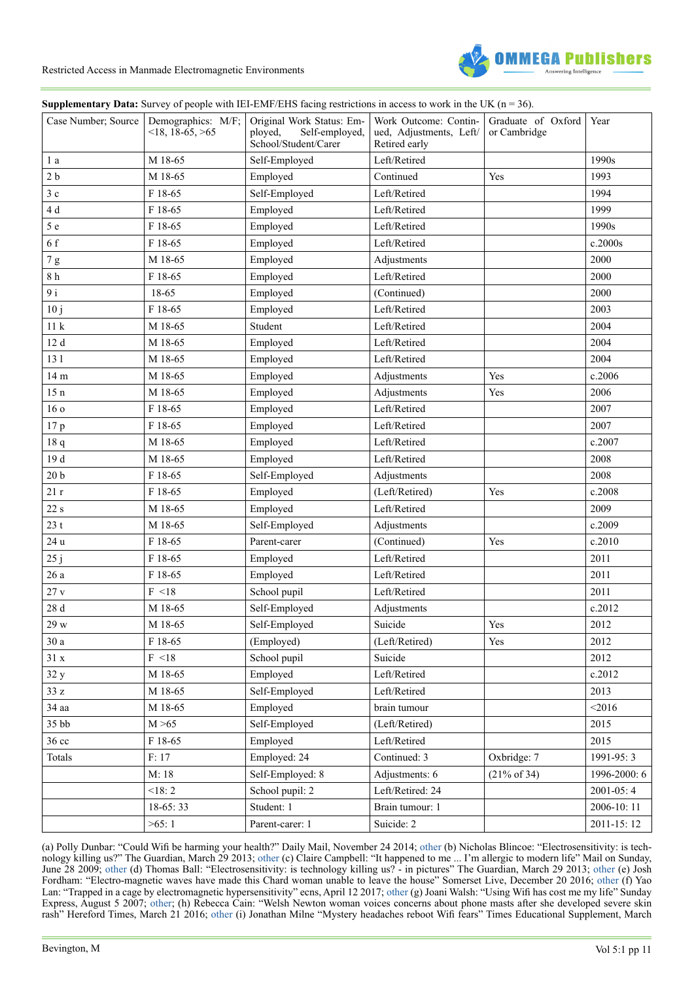

#### **Supplementary Data:** Survey of people with IEI-EMF/EHS facing restrictions in access to work in the UK (n = 36).

|                  | Case Number; Source   Demographics: M/F;<br>$\leq$ 18, 18-65, $\geq$ 65 | Original Work Status: Em-<br>ployed,<br>Self-employed,<br>School/Student/Carer | Work Outcome: Contin-<br>ued, Adjustments, Left/<br>Retired early | Graduate of Oxford<br>or Cambridge | Year         |
|------------------|-------------------------------------------------------------------------|--------------------------------------------------------------------------------|-------------------------------------------------------------------|------------------------------------|--------------|
| 1 a              | M 18-65                                                                 | Self-Employed                                                                  | Left/Retired                                                      |                                    | 1990s        |
| 2 <sub>b</sub>   | M 18-65                                                                 | Employed                                                                       | Continued                                                         | Yes                                | 1993         |
| 3c               | F 18-65                                                                 | Self-Employed                                                                  | Left/Retired                                                      |                                    | 1994         |
| 4 d              | F 18-65                                                                 | Employed                                                                       | Left/Retired                                                      |                                    | 1999         |
| 5e               | F 18-65                                                                 | Employed                                                                       | Left/Retired                                                      |                                    | 1990s        |
| 6f               | F 18-65                                                                 | Employed                                                                       | Left/Retired                                                      |                                    | c.2000s      |
| 7g               | M 18-65                                                                 | Employed                                                                       | Adjustments                                                       |                                    | 2000         |
| $8\ \mathrm{h}$  | F 18-65                                                                 | Employed                                                                       | Left/Retired                                                      |                                    | 2000         |
| 9 <sub>i</sub>   | 18-65                                                                   | Employed                                                                       | (Continued)                                                       |                                    | 2000         |
| 10j              | F 18-65                                                                 | Employed                                                                       | Left/Retired                                                      |                                    | 2003         |
| 11k              | M 18-65                                                                 | Student                                                                        | Left/Retired                                                      |                                    | 2004         |
| 12 d             | M 18-65                                                                 | Employed                                                                       | Left/Retired                                                      |                                    | 2004         |
| 131              | M 18-65                                                                 | Employed                                                                       | Left/Retired                                                      |                                    | 2004         |
| 14 m             | M 18-65                                                                 | Employed                                                                       | Adjustments                                                       | Yes                                | c.2006       |
| 15n              | M 18-65                                                                 | Employed                                                                       | Adjustments                                                       | Yes                                | 2006         |
| 16 <sub>o</sub>  | F 18-65                                                                 | Employed                                                                       | Left/Retired                                                      |                                    | 2007         |
| 17 <sub>p</sub>  | F 18-65                                                                 | Employed                                                                       | Left/Retired                                                      |                                    | 2007         |
| 18q              | M 18-65                                                                 | Employed                                                                       | Left/Retired                                                      |                                    | c.2007       |
| 19 d             | M 18-65                                                                 | Employed                                                                       | Left/Retired                                                      |                                    | 2008         |
| 20 <sub>b</sub>  | F 18-65                                                                 | Self-Employed                                                                  | Adjustments                                                       |                                    | 2008         |
| 21r              | F 18-65                                                                 | Employed                                                                       | (Left/Retired)                                                    | Yes                                | c.2008       |
| 22 s             | M 18-65                                                                 | Employed                                                                       | Left/Retired                                                      |                                    | 2009         |
| 23t              | M 18-65                                                                 | Self-Employed                                                                  | Adjustments                                                       |                                    | c.2009       |
| 24 u             | F 18-65                                                                 | Parent-carer                                                                   | (Continued)                                                       | Yes                                | c.2010       |
| 25j              | F 18-65                                                                 | Employed                                                                       | Left/Retired                                                      |                                    | 2011         |
| 26a              | F 18-65                                                                 | Employed                                                                       | Left/Retired                                                      |                                    | 2011         |
| 27v              | F < 18                                                                  | School pupil                                                                   | Left/Retired                                                      |                                    | 2011         |
| 28 d             | M 18-65                                                                 | Self-Employed                                                                  | Adjustments                                                       |                                    | c.2012       |
| 29 w             | M 18-65                                                                 | Self-Employed                                                                  | Suicide                                                           | Yes                                | 2012         |
| $30\ a$          | F 18-65                                                                 | (Employed)                                                                     | (Left/Retired)                                                    | Yes                                | 2012         |
| 31x              | F < 18                                                                  | School pupil                                                                   | Suicide                                                           |                                    | 2012         |
| 32y              | M 18-65                                                                 | Employed                                                                       | Left/Retired                                                      |                                    | c.2012       |
| 33z              | M 18-65                                                                 | Self-Employed                                                                  | Left/Retired                                                      |                                    | 2013         |
| 34 aa            | M 18-65                                                                 | Employed                                                                       | brain tumour                                                      |                                    | < 2016       |
| 35bb             | M > 65                                                                  | Self-Employed                                                                  | (Left/Retired)                                                    |                                    | 2015         |
| 36 <sub>cc</sub> | F 18-65                                                                 | Employed                                                                       | Left/Retired                                                      |                                    | 2015         |
| Totals           | F: 17                                                                   | Employed: 24                                                                   | Continued: 3                                                      | Oxbridge: 7                        | 1991-95:3    |
|                  | M: 18                                                                   | Self-Employed: 8                                                               | Adjustments: 6                                                    | $(21\% \text{ of } 34)$            | 1996-2000: 6 |
|                  | < 18: 2                                                                 | School pupil: 2                                                                | Left/Retired: 24                                                  |                                    | 2001-05:4    |
|                  | $18-65:33$                                                              | Student: 1                                                                     | Brain tumour: 1                                                   |                                    | 2006-10:11   |
|                  | >65:1                                                                   | Parent-carer: 1                                                                | Suicide: 2                                                        |                                    | 2011-15:12   |

(a) Polly Dunbar: "Could Wifi be harming your health?" Daily Mail, November 24 2014; [other](https://www.dailymail.co.uk/femail/article-2846494/Could-Wifi-harming-health-Thats-growing-number-people-believe-triggering-headaches-nausea-crippling-pain.html) (b) Nicholas Blincoe: "Electrosensitivity: is technology killing us?" The Guardian, March 29 2013; [other](https://www.theguardian.com/society/2013/mar/29/electrosensitivity-is-technology-killing-us) (c) Claire Campbell: "It happened to me ... I'm allergic to modern life" Mail on Sunday, June 28 2009; [other](https://www.dailymail.co.uk/health/article-1195551/It-happened--Im-allergic-modern-life.html) (d) Thomas Ball: "Electrosensitivity: is technology killing us? - in pictures" The Guardian, March 29 2013; [other](https://www.theguardian.com/society/gallery/2013/mar/29/electrosensitivity-technology-killing-us-photographs) (e) Josh Fordham: "Electro-magnetic waves have made this Chard woman unable to leave the house" Somerset Live, December 20 2016; [other](http://emrabc.ca/?page_id=720) (f) Yao Lan: "Trapped in a cage by electromagnetic hypersensitivity" ecns, April 12 2017; other (g) Joani Walsh: "Using Wifi has cost me my life" Sunday Express, August 5 2007; [other](https://www.buergerwelle.de/assets/files/using_wifi_cost_me_my_life.pdf?cultureKey=&q=pdf/using_wifi_cost_me_my_life.pdf); (h) Rebecca Cain: "Welsh Newton woman voices concerns about phone masts after she developed severe skin rash" Hereford Times, March 21 2016; [other](https://www.elettrosensibili.it/tag/stazioni-radio-base/page/8/) (i) Jonathan Milne "Mystery headaches reboot Wifi fears" Times Educational Supplement, March